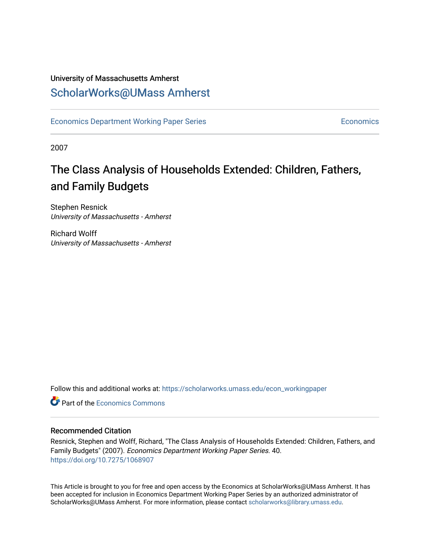### University of Massachusetts Amherst [ScholarWorks@UMass Amherst](https://scholarworks.umass.edu/)

[Economics Department Working Paper Series](https://scholarworks.umass.edu/econ_workingpaper) **Economics** [Economics](https://scholarworks.umass.edu/economics) Economics

2007

## The Class Analysis of Households Extended: Children, Fathers, and Family Budgets

Stephen Resnick University of Massachusetts - Amherst

Richard Wolff University of Massachusetts - Amherst

Follow this and additional works at: [https://scholarworks.umass.edu/econ\\_workingpaper](https://scholarworks.umass.edu/econ_workingpaper?utm_source=scholarworks.umass.edu%2Fecon_workingpaper%2F40&utm_medium=PDF&utm_campaign=PDFCoverPages) 

**C** Part of the [Economics Commons](http://network.bepress.com/hgg/discipline/340?utm_source=scholarworks.umass.edu%2Fecon_workingpaper%2F40&utm_medium=PDF&utm_campaign=PDFCoverPages)

#### Recommended Citation

Resnick, Stephen and Wolff, Richard, "The Class Analysis of Households Extended: Children, Fathers, and Family Budgets" (2007). Economics Department Working Paper Series. 40. <https://doi.org/10.7275/1068907>

This Article is brought to you for free and open access by the Economics at ScholarWorks@UMass Amherst. It has been accepted for inclusion in Economics Department Working Paper Series by an authorized administrator of ScholarWorks@UMass Amherst. For more information, please contact [scholarworks@library.umass.edu.](mailto:scholarworks@library.umass.edu)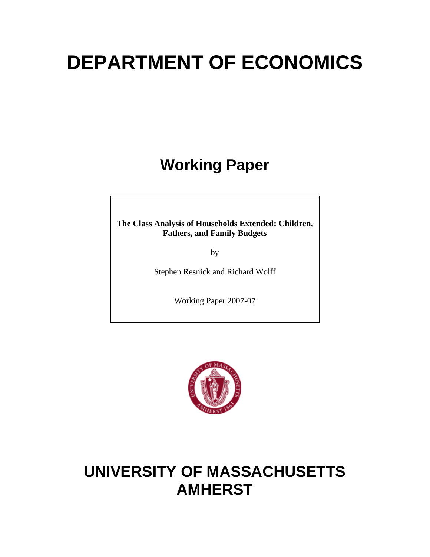# **DEPARTMENT OF ECONOMICS**

# **Working Paper**

**The Class Analysis of Households Extended: Children, Fathers, and Family Budgets** 

by

Stephen Resnick and Richard Wolff

Working Paper 2007-07



# **UNIVERSITY OF MASSACHUSETTS AMHERST**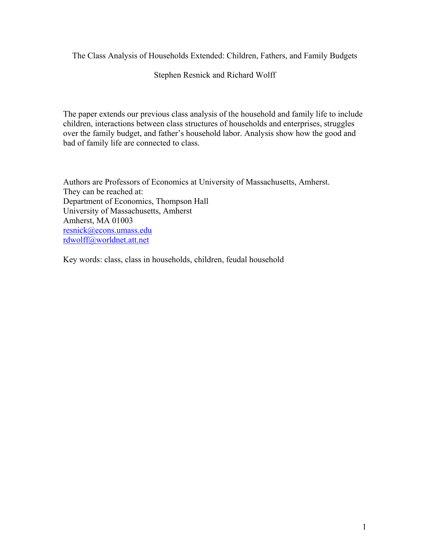The Class Analysis of Households Extended: Children, Fathers, and Family Budgets

Stephen Resnick and Richard Wolff

The paper extends our previous class analysis of the household and family life to include children, interactions between class structures of households and enterprises, struggles over the family budget, and father's household labor. Analysis show how the good and bad of family life are connected to class.

Authors are Professors of Economics at University of Massachusetts, Amherst. They can be reached at: Department of Economics, Thompson Hall University of Massachusetts, Amherst Amherst, MA 01003 resnick@econs.umass.edu rdwolff@worldnet.att.net

Key words: class, class in households, children, feudal household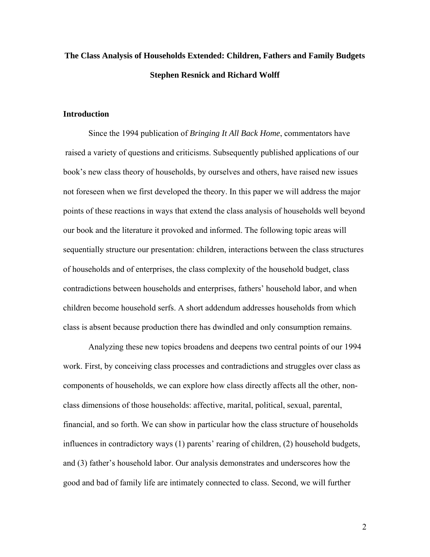### **The Class Analysis of Households Extended: Children, Fathers and Family Budgets Stephen Resnick and Richard Wolff**

#### **Introduction**

Since the 1994 publication of *Bringing It All Back Home*, commentators have raised a variety of questions and criticisms. Subsequently published applications of our book's new class theory of households, by ourselves and others, have raised new issues not foreseen when we first developed the theory. In this paper we will address the major points of these reactions in ways that extend the class analysis of households well beyond our book and the literature it provoked and informed. The following topic areas will sequentially structure our presentation: children, interactions between the class structures of households and of enterprises, the class complexity of the household budget, class contradictions between households and enterprises, fathers' household labor, and when children become household serfs. A short addendum addresses households from which class is absent because production there has dwindled and only consumption remains.

 Analyzing these new topics broadens and deepens two central points of our 1994 work. First, by conceiving class processes and contradictions and struggles over class as components of households, we can explore how class directly affects all the other, nonclass dimensions of those households: affective, marital, political, sexual, parental, financial, and so forth. We can show in particular how the class structure of households influences in contradictory ways (1) parents' rearing of children, (2) household budgets, and (3) father's household labor. Our analysis demonstrates and underscores how the good and bad of family life are intimately connected to class. Second, we will further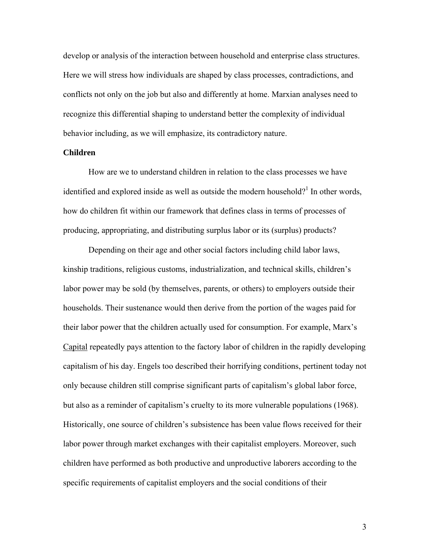develop or analysis of the interaction between household and enterprise class structures. Here we will stress how individuals are shaped by class processes, contradictions, and conflicts not only on the job but also and differently at home. Marxian analyses need to recognize this differential shaping to understand better the complexity of individual behavior including, as we will emphasize, its contradictory nature.

#### **Children**

How are we to understand children in relation to the class processes we have identified and explored inside as well as outside the modern household?<sup>1</sup> In other words, how do children fit within our framework that defines class in terms of processes of producing, appropriating, and distributing surplus labor or its (surplus) products?

Depending on their age and other social factors including child labor laws, kinship traditions, religious customs, industrialization, and technical skills, children's labor power may be sold (by themselves, parents, or others) to employers outside their households. Their sustenance would then derive from the portion of the wages paid for their labor power that the children actually used for consumption. For example, Marx's Capital repeatedly pays attention to the factory labor of children in the rapidly developing capitalism of his day. Engels too described their horrifying conditions, pertinent today not only because children still comprise significant parts of capitalism's global labor force, but also as a reminder of capitalism's cruelty to its more vulnerable populations (1968). Historically, one source of children's subsistence has been value flows received for their labor power through market exchanges with their capitalist employers. Moreover, such children have performed as both productive and unproductive laborers according to the specific requirements of capitalist employers and the social conditions of their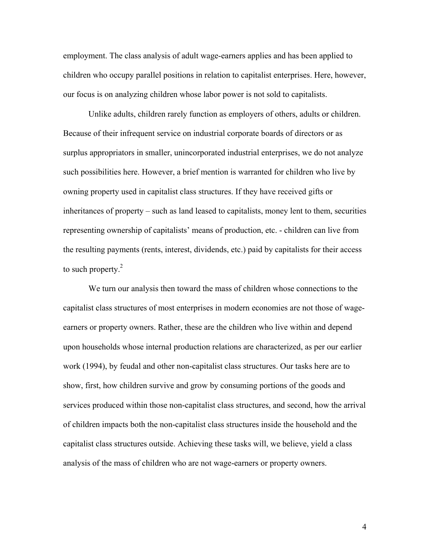employment. The class analysis of adult wage-earners applies and has been applied to children who occupy parallel positions in relation to capitalist enterprises. Here, however, our focus is on analyzing children whose labor power is not sold to capitalists.

Unlike adults, children rarely function as employers of others, adults or children. Because of their infrequent service on industrial corporate boards of directors or as surplus appropriators in smaller, unincorporated industrial enterprises, we do not analyze such possibilities here. However, a brief mention is warranted for children who live by owning property used in capitalist class structures. If they have received gifts or inheritances of property – such as land leased to capitalists, money lent to them, securities representing ownership of capitalists' means of production, etc. - children can live from the resulting payments (rents, interest, dividends, etc.) paid by capitalists for their access to such property. $2$ 

We turn our analysis then toward the mass of children whose connections to the capitalist class structures of most enterprises in modern economies are not those of wageearners or property owners. Rather, these are the children who live within and depend upon households whose internal production relations are characterized, as per our earlier work (1994), by feudal and other non-capitalist class structures. Our tasks here are to show, first, how children survive and grow by consuming portions of the goods and services produced within those non-capitalist class structures, and second, how the arrival of children impacts both the non-capitalist class structures inside the household and the capitalist class structures outside. Achieving these tasks will, we believe, yield a class analysis of the mass of children who are not wage-earners or property owners.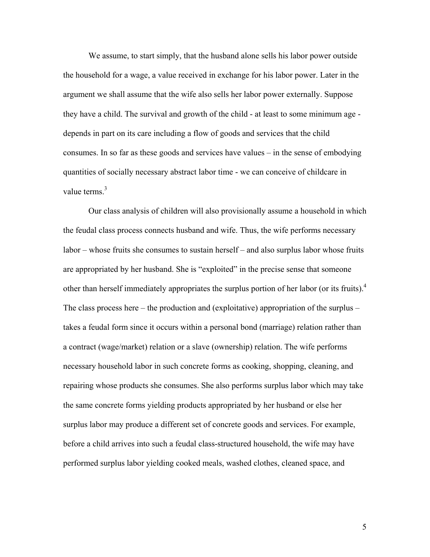We assume, to start simply, that the husband alone sells his labor power outside the household for a wage, a value received in exchange for his labor power. Later in the argument we shall assume that the wife also sells her labor power externally. Suppose they have a child. The survival and growth of the child - at least to some minimum age depends in part on its care including a flow of goods and services that the child consumes. In so far as these goods and services have values – in the sense of embodying quantities of socially necessary abstract labor time - we can conceive of childcare in value terms. $3$ 

Our class analysis of children will also provisionally assume a household in which the feudal class process connects husband and wife. Thus, the wife performs necessary labor – whose fruits she consumes to sustain herself – and also surplus labor whose fruits are appropriated by her husband. She is "exploited" in the precise sense that someone other than herself immediately appropriates the surplus portion of her labor (or its fruits).4 The class process here – the production and (exploitative) appropriation of the surplus – takes a feudal form since it occurs within a personal bond (marriage) relation rather than a contract (wage/market) relation or a slave (ownership) relation. The wife performs necessary household labor in such concrete forms as cooking, shopping, cleaning, and repairing whose products she consumes. She also performs surplus labor which may take the same concrete forms yielding products appropriated by her husband or else her surplus labor may produce a different set of concrete goods and services. For example, before a child arrives into such a feudal class-structured household, the wife may have performed surplus labor yielding cooked meals, washed clothes, cleaned space, and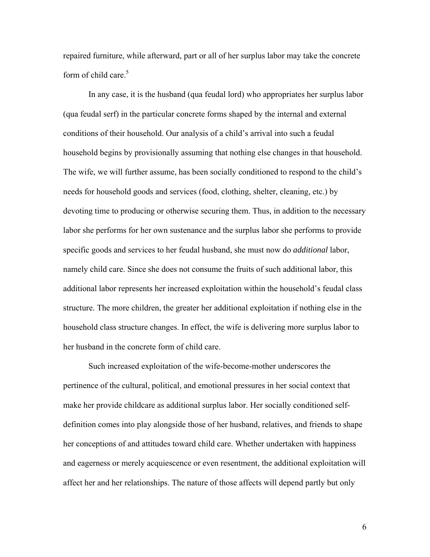repaired furniture, while afterward, part or all of her surplus labor may take the concrete form of child care.<sup>5</sup>

In any case, it is the husband (qua feudal lord) who appropriates her surplus labor (qua feudal serf) in the particular concrete forms shaped by the internal and external conditions of their household. Our analysis of a child's arrival into such a feudal household begins by provisionally assuming that nothing else changes in that household. The wife, we will further assume, has been socially conditioned to respond to the child's needs for household goods and services (food, clothing, shelter, cleaning, etc.) by devoting time to producing or otherwise securing them. Thus, in addition to the necessary labor she performs for her own sustenance and the surplus labor she performs to provide specific goods and services to her feudal husband, she must now do *additional* labor, namely child care. Since she does not consume the fruits of such additional labor, this additional labor represents her increased exploitation within the household's feudal class structure. The more children, the greater her additional exploitation if nothing else in the household class structure changes. In effect, the wife is delivering more surplus labor to her husband in the concrete form of child care.

Such increased exploitation of the wife-become-mother underscores the pertinence of the cultural, political, and emotional pressures in her social context that make her provide childcare as additional surplus labor. Her socially conditioned selfdefinition comes into play alongside those of her husband, relatives, and friends to shape her conceptions of and attitudes toward child care. Whether undertaken with happiness and eagerness or merely acquiescence or even resentment, the additional exploitation will affect her and her relationships. The nature of those affects will depend partly but only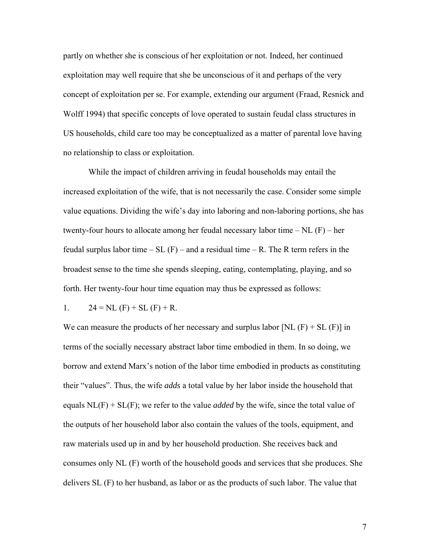partly on whether she is conscious of her exploitation or not. Indeed, her continued exploitation may well require that she be unconscious of it and perhaps of the very concept of exploitation per se. For example, extending our argument (Fraad, Resnick and Wolff 1994) that specific concepts of love operated to sustain feudal class structures in US households, child care too may be conceptualized as a matter of parental love having no relationship to class or exploitation.

While the impact of children arriving in feudal households may entail the increased exploitation of the wife, that is not necessarily the case. Consider some simple value equations. Dividing the wife's day into laboring and non-laboring portions, she has twenty-four hours to allocate among her feudal necessary labor time  $-$  NL  $(F)$  – her feudal surplus labor time  $- SL(F)$  – and a residual time  $- R$ . The R term refers in the broadest sense to the time she spends sleeping, eating, contemplating, playing, and so forth. Her twenty-four hour time equation may thus be expressed as follows:

1. 
$$
24 = NL (F) + SL (F) + R
$$
.

We can measure the products of her necessary and surplus labor  $[NL (F) + SL (F)]$  in terms of the socially necessary abstract labor time embodied in them. In so doing, we borrow and extend Marx's notion of the labor time embodied in products as constituting their "values". Thus, the wife *adds* a total value by her labor inside the household that equals  $NL(F) + SL(F)$ ; we refer to the value *added* by the wife, since the total value of the outputs of her household labor also contain the values of the tools, equipment, and raw materials used up in and by her household production. She receives back and consumes only NL (F) worth of the household goods and services that she produces. She delivers SL (F) to her husband, as labor or as the products of such labor. The value that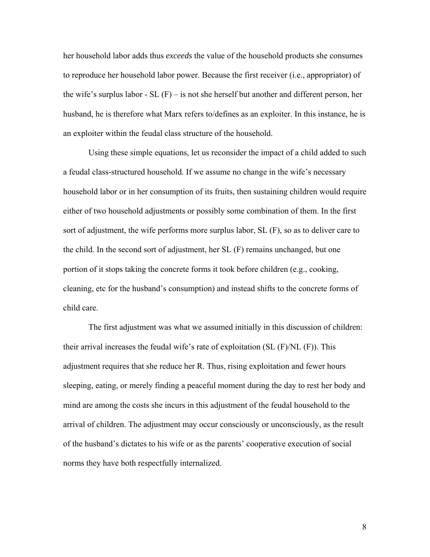her household labor adds thus *exceeds* the value of the household products she consumes to reproduce her household labor power. Because the first receiver (i.e., appropriator) of the wife's surplus labor - SL  $(F)$  – is not she herself but another and different person, her husband, he is therefore what Marx refers to/defines as an exploiter. In this instance, he is an exploiter within the feudal class structure of the household.

Using these simple equations, let us reconsider the impact of a child added to such a feudal class-structured household. If we assume no change in the wife's necessary household labor or in her consumption of its fruits, then sustaining children would require either of two household adjustments or possibly some combination of them. In the first sort of adjustment, the wife performs more surplus labor, SL (F), so as to deliver care to the child. In the second sort of adjustment, her SL (F) remains unchanged, but one portion of it stops taking the concrete forms it took before children (e.g., cooking, cleaning, etc for the husband's consumption) and instead shifts to the concrete forms of child care.

The first adjustment was what we assumed initially in this discussion of children: their arrival increases the feudal wife's rate of exploitation (SL (F)/NL (F)). This adjustment requires that she reduce her R. Thus, rising exploitation and fewer hours sleeping, eating, or merely finding a peaceful moment during the day to rest her body and mind are among the costs she incurs in this adjustment of the feudal household to the arrival of children. The adjustment may occur consciously or unconsciously, as the result of the husband's dictates to his wife or as the parents' cooperative execution of social norms they have both respectfully internalized.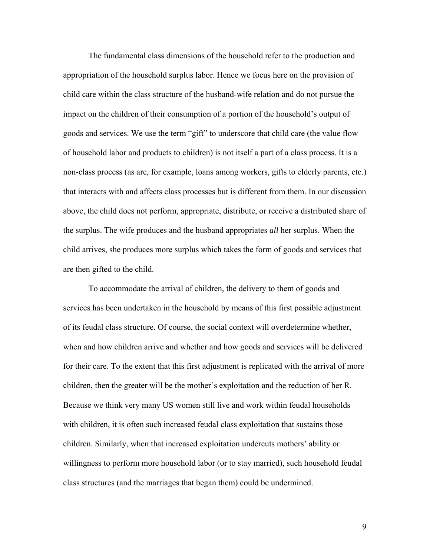The fundamental class dimensions of the household refer to the production and appropriation of the household surplus labor. Hence we focus here on the provision of child care within the class structure of the husband-wife relation and do not pursue the impact on the children of their consumption of a portion of the household's output of goods and services. We use the term "gift" to underscore that child care (the value flow of household labor and products to children) is not itself a part of a class process. It is a non-class process (as are, for example, loans among workers, gifts to elderly parents, etc.) that interacts with and affects class processes but is different from them. In our discussion above, the child does not perform, appropriate, distribute, or receive a distributed share of the surplus. The wife produces and the husband appropriates *all* her surplus. When the child arrives, she produces more surplus which takes the form of goods and services that are then gifted to the child.

To accommodate the arrival of children, the delivery to them of goods and services has been undertaken in the household by means of this first possible adjustment of its feudal class structure. Of course, the social context will overdetermine whether, when and how children arrive and whether and how goods and services will be delivered for their care. To the extent that this first adjustment is replicated with the arrival of more children, then the greater will be the mother's exploitation and the reduction of her R. Because we think very many US women still live and work within feudal households with children, it is often such increased feudal class exploitation that sustains those children. Similarly, when that increased exploitation undercuts mothers' ability or willingness to perform more household labor (or to stay married), such household feudal class structures (and the marriages that began them) could be undermined.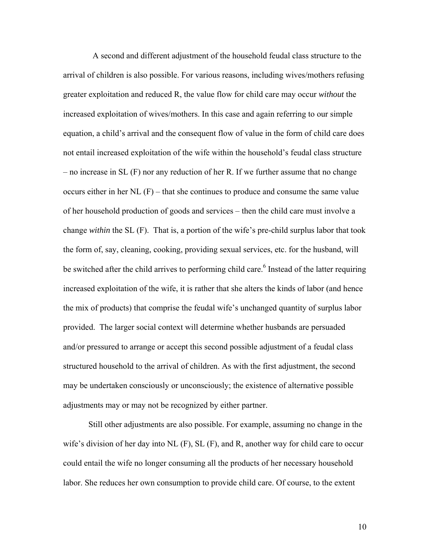A second and different adjustment of the household feudal class structure to the arrival of children is also possible. For various reasons, including wives/mothers refusing greater exploitation and reduced R, the value flow for child care may occur *without* the increased exploitation of wives/mothers. In this case and again referring to our simple equation, a child's arrival and the consequent flow of value in the form of child care does not entail increased exploitation of the wife within the household's feudal class structure – no increase in SL (F) nor any reduction of her R. If we further assume that no change occurs either in her NL (F) – that she continues to produce and consume the same value of her household production of goods and services – then the child care must involve a change *within* the SL (F). That is, a portion of the wife's pre-child surplus labor that took the form of, say, cleaning, cooking, providing sexual services, etc. for the husband, will be switched after the child arrives to performing child care.<sup>6</sup> Instead of the latter requiring increased exploitation of the wife, it is rather that she alters the kinds of labor (and hence the mix of products) that comprise the feudal wife's unchanged quantity of surplus labor provided. The larger social context will determine whether husbands are persuaded and/or pressured to arrange or accept this second possible adjustment of a feudal class structured household to the arrival of children. As with the first adjustment, the second may be undertaken consciously or unconsciously; the existence of alternative possible adjustments may or may not be recognized by either partner.

Still other adjustments are also possible. For example, assuming no change in the wife's division of her day into  $NL$  (F),  $SL$  (F), and R, another way for child care to occur could entail the wife no longer consuming all the products of her necessary household labor. She reduces her own consumption to provide child care. Of course, to the extent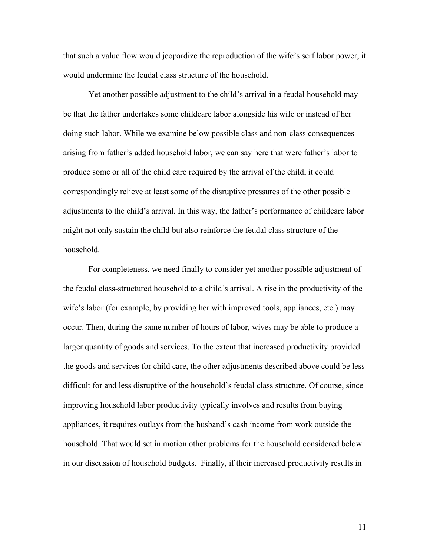that such a value flow would jeopardize the reproduction of the wife's serf labor power, it would undermine the feudal class structure of the household.

Yet another possible adjustment to the child's arrival in a feudal household may be that the father undertakes some childcare labor alongside his wife or instead of her doing such labor. While we examine below possible class and non-class consequences arising from father's added household labor, we can say here that were father's labor to produce some or all of the child care required by the arrival of the child, it could correspondingly relieve at least some of the disruptive pressures of the other possible adjustments to the child's arrival. In this way, the father's performance of childcare labor might not only sustain the child but also reinforce the feudal class structure of the household.

For completeness, we need finally to consider yet another possible adjustment of the feudal class-structured household to a child's arrival. A rise in the productivity of the wife's labor (for example, by providing her with improved tools, appliances, etc.) may occur. Then, during the same number of hours of labor, wives may be able to produce a larger quantity of goods and services. To the extent that increased productivity provided the goods and services for child care, the other adjustments described above could be less difficult for and less disruptive of the household's feudal class structure. Of course, since improving household labor productivity typically involves and results from buying appliances, it requires outlays from the husband's cash income from work outside the household. That would set in motion other problems for the household considered below in our discussion of household budgets. Finally, if their increased productivity results in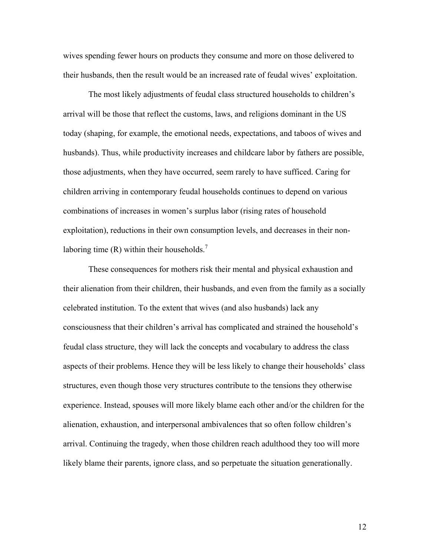wives spending fewer hours on products they consume and more on those delivered to their husbands, then the result would be an increased rate of feudal wives' exploitation.

The most likely adjustments of feudal class structured households to children's arrival will be those that reflect the customs, laws, and religions dominant in the US today (shaping, for example, the emotional needs, expectations, and taboos of wives and husbands). Thus, while productivity increases and childcare labor by fathers are possible, those adjustments, when they have occurred, seem rarely to have sufficed. Caring for children arriving in contemporary feudal households continues to depend on various combinations of increases in women's surplus labor (rising rates of household exploitation), reductions in their own consumption levels, and decreases in their nonlaboring time (R) within their households.<sup>7</sup>

These consequences for mothers risk their mental and physical exhaustion and their alienation from their children, their husbands, and even from the family as a socially celebrated institution. To the extent that wives (and also husbands) lack any consciousness that their children's arrival has complicated and strained the household's feudal class structure, they will lack the concepts and vocabulary to address the class aspects of their problems. Hence they will be less likely to change their households' class structures, even though those very structures contribute to the tensions they otherwise experience. Instead, spouses will more likely blame each other and/or the children for the alienation, exhaustion, and interpersonal ambivalences that so often follow children's arrival. Continuing the tragedy, when those children reach adulthood they too will more likely blame their parents, ignore class, and so perpetuate the situation generationally.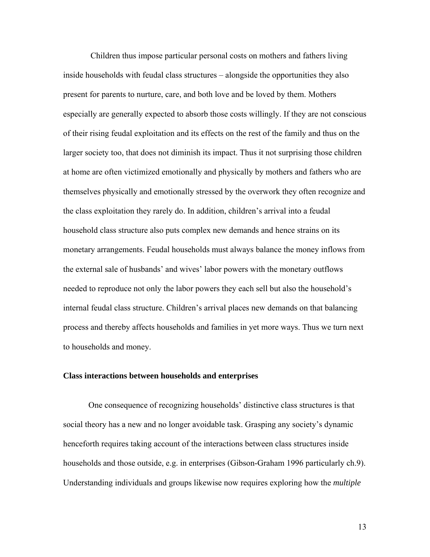Children thus impose particular personal costs on mothers and fathers living inside households with feudal class structures – alongside the opportunities they also present for parents to nurture, care, and both love and be loved by them. Mothers especially are generally expected to absorb those costs willingly. If they are not conscious of their rising feudal exploitation and its effects on the rest of the family and thus on the larger society too, that does not diminish its impact. Thus it not surprising those children at home are often victimized emotionally and physically by mothers and fathers who are themselves physically and emotionally stressed by the overwork they often recognize and the class exploitation they rarely do. In addition, children's arrival into a feudal household class structure also puts complex new demands and hence strains on its monetary arrangements. Feudal households must always balance the money inflows from the external sale of husbands' and wives' labor powers with the monetary outflows needed to reproduce not only the labor powers they each sell but also the household's internal feudal class structure. Children's arrival places new demands on that balancing process and thereby affects households and families in yet more ways. Thus we turn next to households and money.

#### **Class interactions between households and enterprises**

 One consequence of recognizing households' distinctive class structures is that social theory has a new and no longer avoidable task. Grasping any society's dynamic henceforth requires taking account of the interactions between class structures inside households and those outside, e.g. in enterprises (Gibson-Graham 1996 particularly ch.9). Understanding individuals and groups likewise now requires exploring how the *multiple*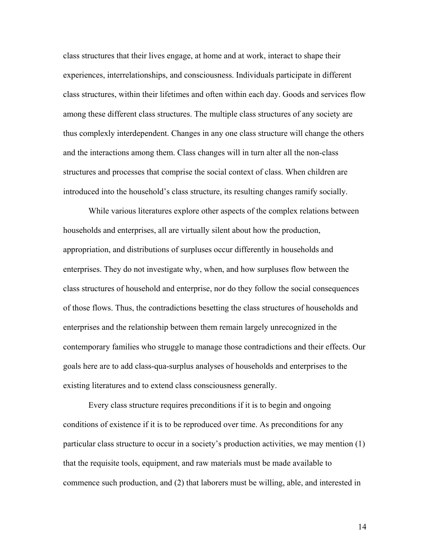class structures that their lives engage, at home and at work, interact to shape their experiences, interrelationships, and consciousness. Individuals participate in different class structures, within their lifetimes and often within each day. Goods and services flow among these different class structures. The multiple class structures of any society are thus complexly interdependent. Changes in any one class structure will change the others and the interactions among them. Class changes will in turn alter all the non-class structures and processes that comprise the social context of class. When children are introduced into the household's class structure, its resulting changes ramify socially.

 While various literatures explore other aspects of the complex relations between households and enterprises, all are virtually silent about how the production, appropriation, and distributions of surpluses occur differently in households and enterprises. They do not investigate why, when, and how surpluses flow between the class structures of household and enterprise, nor do they follow the social consequences of those flows. Thus, the contradictions besetting the class structures of households and enterprises and the relationship between them remain largely unrecognized in the contemporary families who struggle to manage those contradictions and their effects. Our goals here are to add class-qua-surplus analyses of households and enterprises to the existing literatures and to extend class consciousness generally.

 Every class structure requires preconditions if it is to begin and ongoing conditions of existence if it is to be reproduced over time. As preconditions for any particular class structure to occur in a society's production activities, we may mention (1) that the requisite tools, equipment, and raw materials must be made available to commence such production, and (2) that laborers must be willing, able, and interested in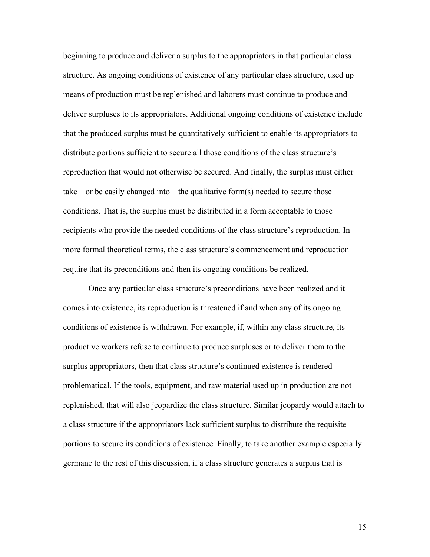beginning to produce and deliver a surplus to the appropriators in that particular class structure. As ongoing conditions of existence of any particular class structure, used up means of production must be replenished and laborers must continue to produce and deliver surpluses to its appropriators. Additional ongoing conditions of existence include that the produced surplus must be quantitatively sufficient to enable its appropriators to distribute portions sufficient to secure all those conditions of the class structure's reproduction that would not otherwise be secured. And finally, the surplus must either take – or be easily changed into – the qualitative form(s) needed to secure those conditions. That is, the surplus must be distributed in a form acceptable to those recipients who provide the needed conditions of the class structure's reproduction. In more formal theoretical terms, the class structure's commencement and reproduction require that its preconditions and then its ongoing conditions be realized.

Once any particular class structure's preconditions have been realized and it comes into existence, its reproduction is threatened if and when any of its ongoing conditions of existence is withdrawn. For example, if, within any class structure, its productive workers refuse to continue to produce surpluses or to deliver them to the surplus appropriators, then that class structure's continued existence is rendered problematical. If the tools, equipment, and raw material used up in production are not replenished, that will also jeopardize the class structure. Similar jeopardy would attach to a class structure if the appropriators lack sufficient surplus to distribute the requisite portions to secure its conditions of existence. Finally, to take another example especially germane to the rest of this discussion, if a class structure generates a surplus that is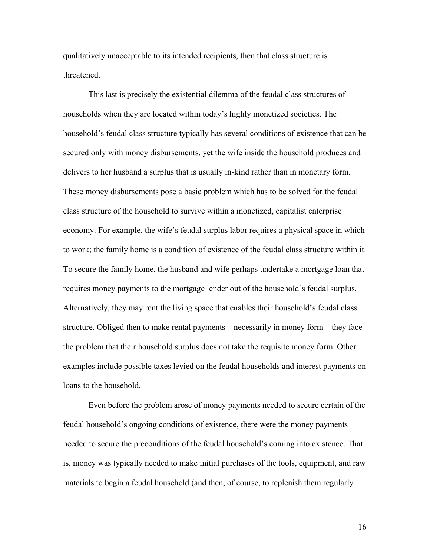qualitatively unacceptable to its intended recipients, then that class structure is threatened.

This last is precisely the existential dilemma of the feudal class structures of households when they are located within today's highly monetized societies. The household's feudal class structure typically has several conditions of existence that can be secured only with money disbursements, yet the wife inside the household produces and delivers to her husband a surplus that is usually in-kind rather than in monetary form. These money disbursements pose a basic problem which has to be solved for the feudal class structure of the household to survive within a monetized, capitalist enterprise economy. For example, the wife's feudal surplus labor requires a physical space in which to work; the family home is a condition of existence of the feudal class structure within it. To secure the family home, the husband and wife perhaps undertake a mortgage loan that requires money payments to the mortgage lender out of the household's feudal surplus. Alternatively, they may rent the living space that enables their household's feudal class structure. Obliged then to make rental payments – necessarily in money form – they face the problem that their household surplus does not take the requisite money form. Other examples include possible taxes levied on the feudal households and interest payments on loans to the household.

Even before the problem arose of money payments needed to secure certain of the feudal household's ongoing conditions of existence, there were the money payments needed to secure the preconditions of the feudal household's coming into existence. That is, money was typically needed to make initial purchases of the tools, equipment, and raw materials to begin a feudal household (and then, of course, to replenish them regularly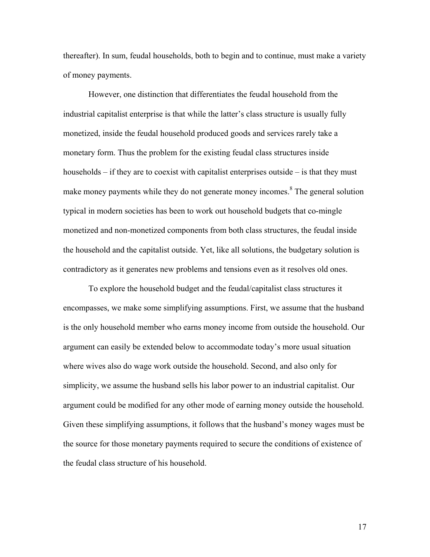thereafter). In sum, feudal households, both to begin and to continue, must make a variety of money payments.

 However, one distinction that differentiates the feudal household from the industrial capitalist enterprise is that while the latter's class structure is usually fully monetized, inside the feudal household produced goods and services rarely take a monetary form. Thus the problem for the existing feudal class structures inside households – if they are to coexist with capitalist enterprises outside – is that they must make money payments while they do not generate money incomes.<sup>8</sup> The general solution typical in modern societies has been to work out household budgets that co-mingle monetized and non-monetized components from both class structures, the feudal inside the household and the capitalist outside. Yet, like all solutions, the budgetary solution is contradictory as it generates new problems and tensions even as it resolves old ones.

 To explore the household budget and the feudal/capitalist class structures it encompasses, we make some simplifying assumptions. First, we assume that the husband is the only household member who earns money income from outside the household. Our argument can easily be extended below to accommodate today's more usual situation where wives also do wage work outside the household. Second, and also only for simplicity, we assume the husband sells his labor power to an industrial capitalist. Our argument could be modified for any other mode of earning money outside the household. Given these simplifying assumptions, it follows that the husband's money wages must be the source for those monetary payments required to secure the conditions of existence of the feudal class structure of his household.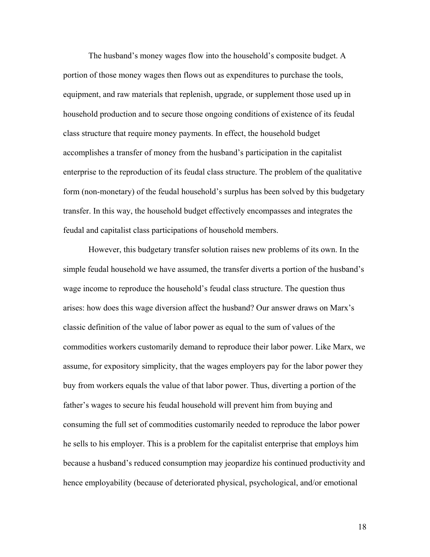The husband's money wages flow into the household's composite budget. A portion of those money wages then flows out as expenditures to purchase the tools, equipment, and raw materials that replenish, upgrade, or supplement those used up in household production and to secure those ongoing conditions of existence of its feudal class structure that require money payments. In effect, the household budget accomplishes a transfer of money from the husband's participation in the capitalist enterprise to the reproduction of its feudal class structure. The problem of the qualitative form (non-monetary) of the feudal household's surplus has been solved by this budgetary transfer. In this way, the household budget effectively encompasses and integrates the feudal and capitalist class participations of household members.

 However, this budgetary transfer solution raises new problems of its own. In the simple feudal household we have assumed, the transfer diverts a portion of the husband's wage income to reproduce the household's feudal class structure. The question thus arises: how does this wage diversion affect the husband? Our answer draws on Marx's classic definition of the value of labor power as equal to the sum of values of the commodities workers customarily demand to reproduce their labor power. Like Marx, we assume, for expository simplicity, that the wages employers pay for the labor power they buy from workers equals the value of that labor power. Thus, diverting a portion of the father's wages to secure his feudal household will prevent him from buying and consuming the full set of commodities customarily needed to reproduce the labor power he sells to his employer. This is a problem for the capitalist enterprise that employs him because a husband's reduced consumption may jeopardize his continued productivity and hence employability (because of deteriorated physical, psychological, and/or emotional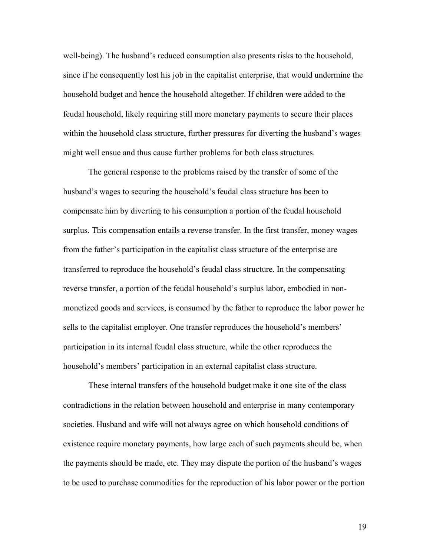well-being). The husband's reduced consumption also presents risks to the household, since if he consequently lost his job in the capitalist enterprise, that would undermine the household budget and hence the household altogether. If children were added to the feudal household, likely requiring still more monetary payments to secure their places within the household class structure, further pressures for diverting the husband's wages might well ensue and thus cause further problems for both class structures.

 The general response to the problems raised by the transfer of some of the husband's wages to securing the household's feudal class structure has been to compensate him by diverting to his consumption a portion of the feudal household surplus. This compensation entails a reverse transfer. In the first transfer, money wages from the father's participation in the capitalist class structure of the enterprise are transferred to reproduce the household's feudal class structure. In the compensating reverse transfer, a portion of the feudal household's surplus labor, embodied in nonmonetized goods and services, is consumed by the father to reproduce the labor power he sells to the capitalist employer. One transfer reproduces the household's members' participation in its internal feudal class structure, while the other reproduces the household's members' participation in an external capitalist class structure.

 These internal transfers of the household budget make it one site of the class contradictions in the relation between household and enterprise in many contemporary societies. Husband and wife will not always agree on which household conditions of existence require monetary payments, how large each of such payments should be, when the payments should be made, etc. They may dispute the portion of the husband's wages to be used to purchase commodities for the reproduction of his labor power or the portion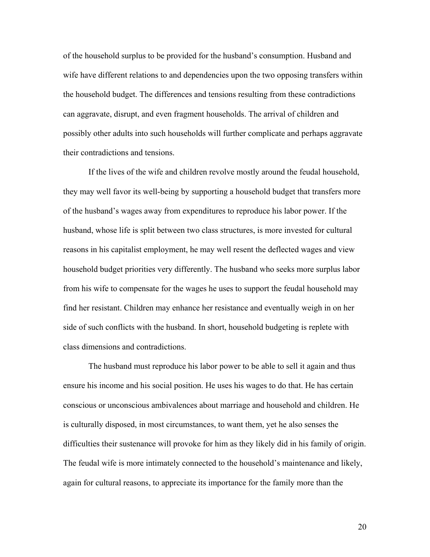of the household surplus to be provided for the husband's consumption. Husband and wife have different relations to and dependencies upon the two opposing transfers within the household budget. The differences and tensions resulting from these contradictions can aggravate, disrupt, and even fragment households. The arrival of children and possibly other adults into such households will further complicate and perhaps aggravate their contradictions and tensions.

 If the lives of the wife and children revolve mostly around the feudal household, they may well favor its well-being by supporting a household budget that transfers more of the husband's wages away from expenditures to reproduce his labor power. If the husband, whose life is split between two class structures, is more invested for cultural reasons in his capitalist employment, he may well resent the deflected wages and view household budget priorities very differently. The husband who seeks more surplus labor from his wife to compensate for the wages he uses to support the feudal household may find her resistant. Children may enhance her resistance and eventually weigh in on her side of such conflicts with the husband. In short, household budgeting is replete with class dimensions and contradictions.

 The husband must reproduce his labor power to be able to sell it again and thus ensure his income and his social position. He uses his wages to do that. He has certain conscious or unconscious ambivalences about marriage and household and children. He is culturally disposed, in most circumstances, to want them, yet he also senses the difficulties their sustenance will provoke for him as they likely did in his family of origin. The feudal wife is more intimately connected to the household's maintenance and likely, again for cultural reasons, to appreciate its importance for the family more than the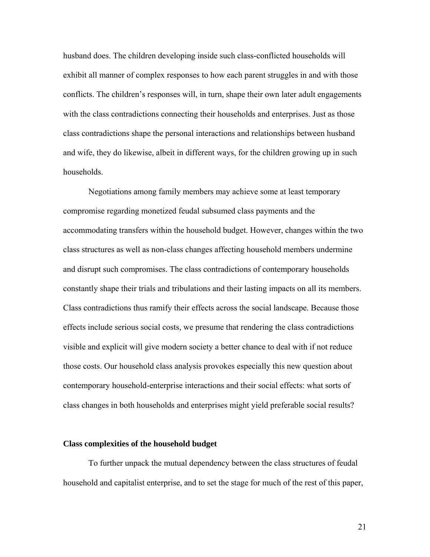husband does. The children developing inside such class-conflicted households will exhibit all manner of complex responses to how each parent struggles in and with those conflicts. The children's responses will, in turn, shape their own later adult engagements with the class contradictions connecting their households and enterprises. Just as those class contradictions shape the personal interactions and relationships between husband and wife, they do likewise, albeit in different ways, for the children growing up in such households.

Negotiations among family members may achieve some at least temporary compromise regarding monetized feudal subsumed class payments and the accommodating transfers within the household budget. However, changes within the two class structures as well as non-class changes affecting household members undermine and disrupt such compromises. The class contradictions of contemporary households constantly shape their trials and tribulations and their lasting impacts on all its members. Class contradictions thus ramify their effects across the social landscape. Because those effects include serious social costs, we presume that rendering the class contradictions visible and explicit will give modern society a better chance to deal with if not reduce those costs. Our household class analysis provokes especially this new question about contemporary household-enterprise interactions and their social effects: what sorts of class changes in both households and enterprises might yield preferable social results?

#### **Class complexities of the household budget**

To further unpack the mutual dependency between the class structures of feudal household and capitalist enterprise, and to set the stage for much of the rest of this paper,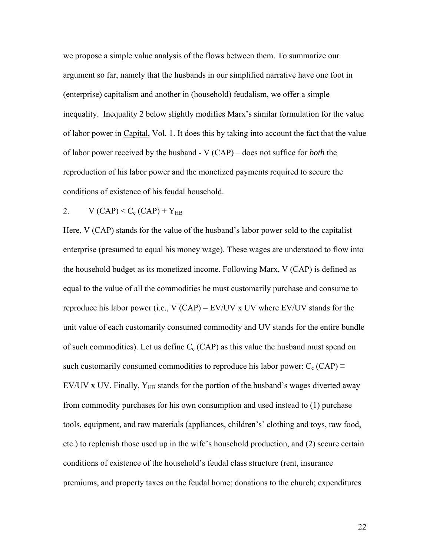we propose a simple value analysis of the flows between them. To summarize our argument so far, namely that the husbands in our simplified narrative have one foot in (enterprise) capitalism and another in (household) feudalism, we offer a simple inequality. Inequality 2 below slightly modifies Marx's similar formulation for the value of labor power in Capital, Vol. 1. It does this by taking into account the fact that the value of labor power received by the husband - V (CAP) – does not suffice for *both* the reproduction of his labor power and the monetized payments required to secure the conditions of existence of his feudal household.

2. 
$$
V(CAP) < C_c(CAP) + Y_{HB}
$$

Here, V (CAP) stands for the value of the husband's labor power sold to the capitalist enterprise (presumed to equal his money wage). These wages are understood to flow into the household budget as its monetized income. Following Marx, V (CAP) is defined as equal to the value of all the commodities he must customarily purchase and consume to reproduce his labor power (i.e.,  $V (CAP) = EV/UV x UV$  where EV/UV stands for the unit value of each customarily consumed commodity and UV stands for the entire bundle of such commodities). Let us define  $C_c$  (CAP) as this value the husband must spend on such customarily consumed commodities to reproduce his labor power:  $C_c$  (CAP)  $\equiv$ EV/UV x UV. Finally,  $Y_{HB}$  stands for the portion of the husband's wages diverted away from commodity purchases for his own consumption and used instead to (1) purchase tools, equipment, and raw materials (appliances, children's' clothing and toys, raw food, etc.) to replenish those used up in the wife's household production, and (2) secure certain conditions of existence of the household's feudal class structure (rent, insurance premiums, and property taxes on the feudal home; donations to the church; expenditures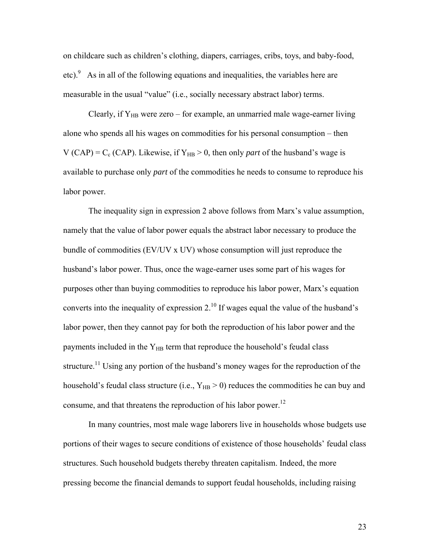on childcare such as children's clothing, diapers, carriages, cribs, toys, and baby-food, etc). $\degree$  As in all of the following equations and inequalities, the variables here are measurable in the usual "value" (i.e., socially necessary abstract labor) terms.

Clearly, if  $Y_{HB}$  were zero – for example, an unmarried male wage-earner living alone who spends all his wages on commodities for his personal consumption – then V (CAP) =  $C_c$  (CAP). Likewise, if  $Y_{HB} > 0$ , then only *part* of the husband's wage is available to purchase only *part* of the commodities he needs to consume to reproduce his labor power.

The inequality sign in expression 2 above follows from Marx's value assumption, namely that the value of labor power equals the abstract labor necessary to produce the bundle of commodities (EV/UV x UV) whose consumption will just reproduce the husband's labor power. Thus, once the wage-earner uses some part of his wages for purposes other than buying commodities to reproduce his labor power, Marx's equation converts into the inequality of expression  $2<sup>10</sup>$  If wages equal the value of the husband's labor power, then they cannot pay for both the reproduction of his labor power and the payments included in the  $Y_{HB}$  term that reproduce the household's feudal class structure.<sup>11</sup> Using any portion of the husband's money wages for the reproduction of the household's feudal class structure (i.e.,  $Y_{HB} > 0$ ) reduces the commodities he can buy and consume, and that threatens the reproduction of his labor power.<sup>12</sup>

In many countries, most male wage laborers live in households whose budgets use portions of their wages to secure conditions of existence of those households' feudal class structures. Such household budgets thereby threaten capitalism. Indeed, the more pressing become the financial demands to support feudal households, including raising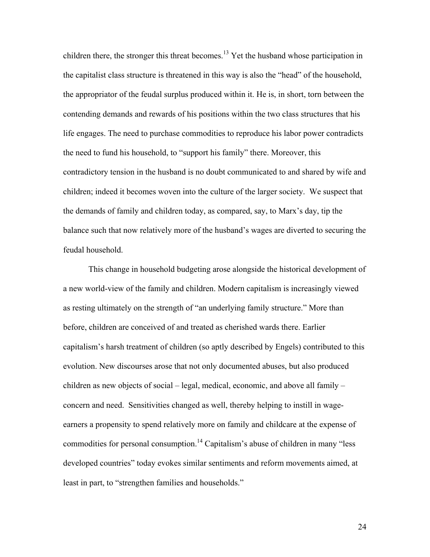children there, the stronger this threat becomes.<sup>13</sup> Yet the husband whose participation in the capitalist class structure is threatened in this way is also the "head" of the household, the appropriator of the feudal surplus produced within it. He is, in short, torn between the contending demands and rewards of his positions within the two class structures that his life engages. The need to purchase commodities to reproduce his labor power contradicts the need to fund his household, to "support his family" there. Moreover, this contradictory tension in the husband is no doubt communicated to and shared by wife and children; indeed it becomes woven into the culture of the larger society. We suspect that the demands of family and children today, as compared, say, to Marx's day, tip the balance such that now relatively more of the husband's wages are diverted to securing the feudal household.

This change in household budgeting arose alongside the historical development of a new world-view of the family and children. Modern capitalism is increasingly viewed as resting ultimately on the strength of "an underlying family structure." More than before, children are conceived of and treated as cherished wards there. Earlier capitalism's harsh treatment of children (so aptly described by Engels) contributed to this evolution. New discourses arose that not only documented abuses, but also produced children as new objects of social – legal, medical, economic, and above all family – concern and need. Sensitivities changed as well, thereby helping to instill in wageearners a propensity to spend relatively more on family and childcare at the expense of commodities for personal consumption.<sup>14</sup> Capitalism's abuse of children in many "less developed countries" today evokes similar sentiments and reform movements aimed, at least in part, to "strengthen families and households."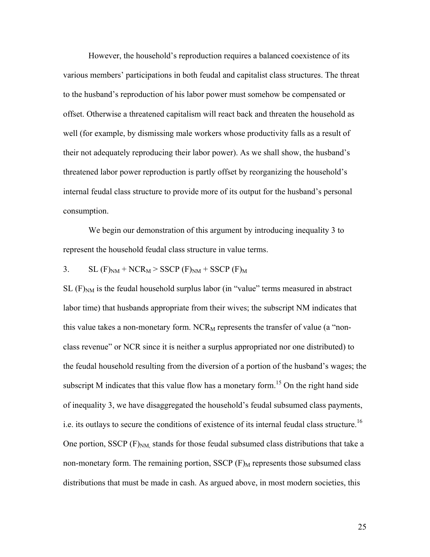However, the household's reproduction requires a balanced coexistence of its various members' participations in both feudal and capitalist class structures. The threat to the husband's reproduction of his labor power must somehow be compensated or offset. Otherwise a threatened capitalism will react back and threaten the household as well (for example, by dismissing male workers whose productivity falls as a result of their not adequately reproducing their labor power). As we shall show, the husband's threatened labor power reproduction is partly offset by reorganizing the household's internal feudal class structure to provide more of its output for the husband's personal consumption.

We begin our demonstration of this argument by introducing inequality 3 to represent the household feudal class structure in value terms.

3. SL (F)NM + NCRM > SSCP (F)NM + SSCP (F)M

 $SL(F)_{NM}$  is the feudal household surplus labor (in "value" terms measured in abstract labor time) that husbands appropriate from their wives; the subscript NM indicates that this value takes a non-monetary form.  $NCR_M$  represents the transfer of value (a "nonclass revenue" or NCR since it is neither a surplus appropriated nor one distributed) to the feudal household resulting from the diversion of a portion of the husband's wages; the subscript M indicates that this value flow has a monetary form.<sup>15</sup> On the right hand side of inequality 3, we have disaggregated the household's feudal subsumed class payments, i.e. its outlays to secure the conditions of existence of its internal feudal class structure.<sup>16</sup> One portion, SSCP  $(F)_{NM}$  stands for those feudal subsumed class distributions that take a non-monetary form. The remaining portion, SSCP  $(F)$ <sub>M</sub> represents those subsumed class distributions that must be made in cash. As argued above, in most modern societies, this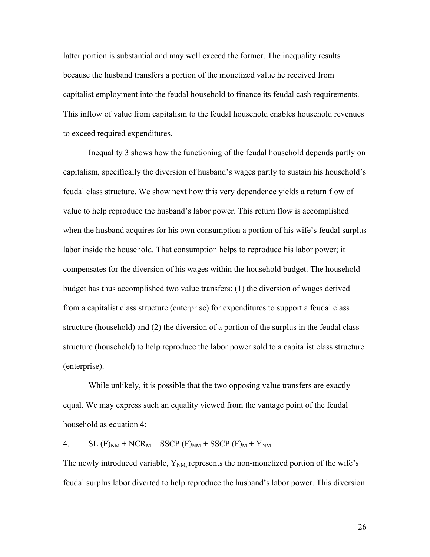latter portion is substantial and may well exceed the former. The inequality results because the husband transfers a portion of the monetized value he received from capitalist employment into the feudal household to finance its feudal cash requirements. This inflow of value from capitalism to the feudal household enables household revenues to exceed required expenditures.

 Inequality 3 shows how the functioning of the feudal household depends partly on capitalism, specifically the diversion of husband's wages partly to sustain his household's feudal class structure. We show next how this very dependence yields a return flow of value to help reproduce the husband's labor power. This return flow is accomplished when the husband acquires for his own consumption a portion of his wife's feudal surplus labor inside the household. That consumption helps to reproduce his labor power; it compensates for the diversion of his wages within the household budget. The household budget has thus accomplished two value transfers: (1) the diversion of wages derived from a capitalist class structure (enterprise) for expenditures to support a feudal class structure (household) and (2) the diversion of a portion of the surplus in the feudal class structure (household) to help reproduce the labor power sold to a capitalist class structure (enterprise).

 While unlikely, it is possible that the two opposing value transfers are exactly equal. We may express such an equality viewed from the vantage point of the feudal household as equation 4:

4. SL  $(F)_{NM}$  + NCR<sub>M</sub> = SSCP  $(F)_{NM}$  + SSCP  $(F)_{M}$  + Y<sub>NM</sub>

The newly introduced variable,  $Y_{NM}$  represents the non-monetized portion of the wife's feudal surplus labor diverted to help reproduce the husband's labor power. This diversion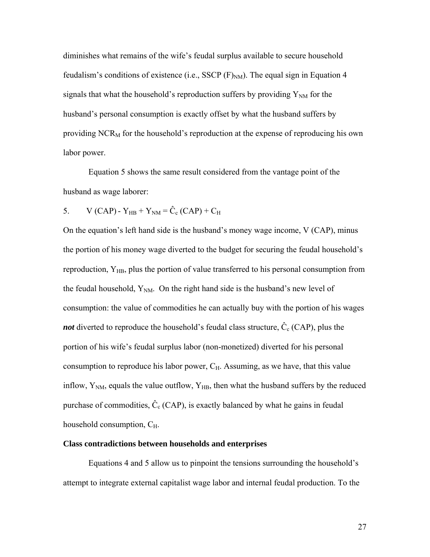diminishes what remains of the wife's feudal surplus available to secure household feudalism's conditions of existence (i.e., SSCP  $(F)_{NM}$ ). The equal sign in Equation 4 signals that what the household's reproduction suffers by providing  $Y_{NM}$  for the husband's personal consumption is exactly offset by what the husband suffers by providing  $NCR_M$  for the household's reproduction at the expense of reproducing his own labor power.

Equation 5 shows the same result considered from the vantage point of the husband as wage laborer:

5. V (CAP) - Y<sub>HB</sub> + Y<sub>NM</sub> = 
$$
\hat{C}_{c}
$$
 (CAP) + C<sub>H</sub>

On the equation's left hand side is the husband's money wage income, V (CAP), minus the portion of his money wage diverted to the budget for securing the feudal household's reproduction,  $Y_{HB}$ , plus the portion of value transferred to his personal consumption from the feudal household,  $Y_{NM}$ . On the right hand side is the husband's new level of consumption: the value of commodities he can actually buy with the portion of his wages *not* diverted to reproduce the household's feudal class structure,  $\hat{C}_c$  (CAP), plus the portion of his wife's feudal surplus labor (non-monetized) diverted for his personal consumption to reproduce his labor power,  $C_H$ . Assuming, as we have, that this value inflow,  $Y_{NM}$ , equals the value outflow,  $Y_{HB}$ , then what the husband suffers by the reduced purchase of commodities,  $\hat{C}_c$  (CAP), is exactly balanced by what he gains in feudal household consumption,  $C_{H}$ .

#### **Class contradictions between households and enterprises**

Equations 4 and 5 allow us to pinpoint the tensions surrounding the household's attempt to integrate external capitalist wage labor and internal feudal production. To the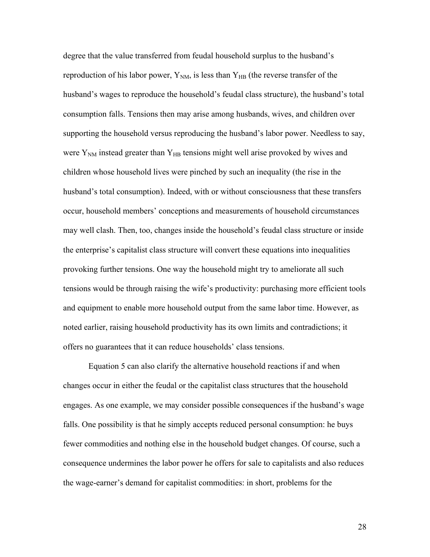degree that the value transferred from feudal household surplus to the husband's reproduction of his labor power,  $Y_{NM}$ , is less than  $Y_{HB}$  (the reverse transfer of the husband's wages to reproduce the household's feudal class structure), the husband's total consumption falls. Tensions then may arise among husbands, wives, and children over supporting the household versus reproducing the husband's labor power. Needless to say, were  $Y_{NM}$  instead greater than  $Y_{HB}$  tensions might well arise provoked by wives and children whose household lives were pinched by such an inequality (the rise in the husband's total consumption). Indeed, with or without consciousness that these transfers occur, household members' conceptions and measurements of household circumstances may well clash. Then, too, changes inside the household's feudal class structure or inside the enterprise's capitalist class structure will convert these equations into inequalities provoking further tensions. One way the household might try to ameliorate all such tensions would be through raising the wife's productivity: purchasing more efficient tools and equipment to enable more household output from the same labor time. However, as noted earlier, raising household productivity has its own limits and contradictions; it offers no guarantees that it can reduce households' class tensions.

 Equation 5 can also clarify the alternative household reactions if and when changes occur in either the feudal or the capitalist class structures that the household engages. As one example, we may consider possible consequences if the husband's wage falls. One possibility is that he simply accepts reduced personal consumption: he buys fewer commodities and nothing else in the household budget changes. Of course, such a consequence undermines the labor power he offers for sale to capitalists and also reduces the wage-earner's demand for capitalist commodities: in short, problems for the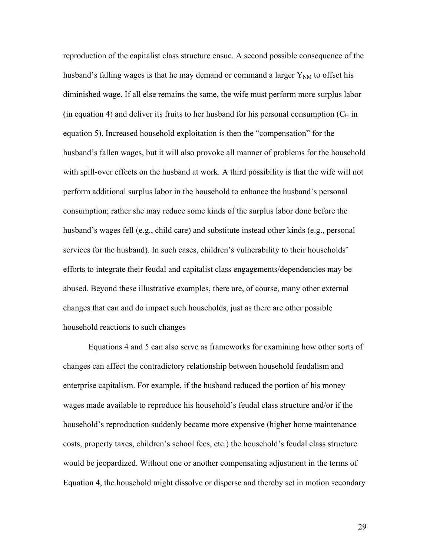reproduction of the capitalist class structure ensue. A second possible consequence of the husband's falling wages is that he may demand or command a larger  $Y_{NM}$  to offset his diminished wage. If all else remains the same, the wife must perform more surplus labor (in equation 4) and deliver its fruits to her husband for his personal consumption  $(C_H$  in equation 5). Increased household exploitation is then the "compensation" for the husband's fallen wages, but it will also provoke all manner of problems for the household with spill-over effects on the husband at work. A third possibility is that the wife will not perform additional surplus labor in the household to enhance the husband's personal consumption; rather she may reduce some kinds of the surplus labor done before the husband's wages fell (e.g., child care) and substitute instead other kinds (e.g., personal services for the husband). In such cases, children's vulnerability to their households' efforts to integrate their feudal and capitalist class engagements/dependencies may be abused. Beyond these illustrative examples, there are, of course, many other external changes that can and do impact such households, just as there are other possible household reactions to such changes

Equations 4 and 5 can also serve as frameworks for examining how other sorts of changes can affect the contradictory relationship between household feudalism and enterprise capitalism. For example, if the husband reduced the portion of his money wages made available to reproduce his household's feudal class structure and/or if the household's reproduction suddenly became more expensive (higher home maintenance costs, property taxes, children's school fees, etc.) the household's feudal class structure would be jeopardized. Without one or another compensating adjustment in the terms of Equation 4, the household might dissolve or disperse and thereby set in motion secondary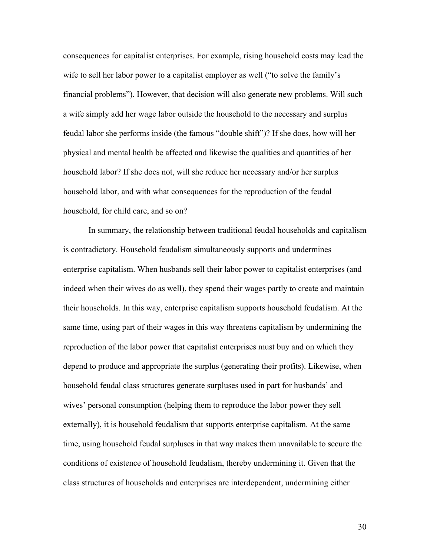consequences for capitalist enterprises. For example, rising household costs may lead the wife to sell her labor power to a capitalist employer as well ("to solve the family's financial problems"). However, that decision will also generate new problems. Will such a wife simply add her wage labor outside the household to the necessary and surplus feudal labor she performs inside (the famous "double shift")? If she does, how will her physical and mental health be affected and likewise the qualities and quantities of her household labor? If she does not, will she reduce her necessary and/or her surplus household labor, and with what consequences for the reproduction of the feudal household, for child care, and so on?

In summary, the relationship between traditional feudal households and capitalism is contradictory. Household feudalism simultaneously supports and undermines enterprise capitalism. When husbands sell their labor power to capitalist enterprises (and indeed when their wives do as well), they spend their wages partly to create and maintain their households. In this way, enterprise capitalism supports household feudalism. At the same time, using part of their wages in this way threatens capitalism by undermining the reproduction of the labor power that capitalist enterprises must buy and on which they depend to produce and appropriate the surplus (generating their profits). Likewise, when household feudal class structures generate surpluses used in part for husbands' and wives' personal consumption (helping them to reproduce the labor power they sell externally), it is household feudalism that supports enterprise capitalism. At the same time, using household feudal surpluses in that way makes them unavailable to secure the conditions of existence of household feudalism, thereby undermining it. Given that the class structures of households and enterprises are interdependent, undermining either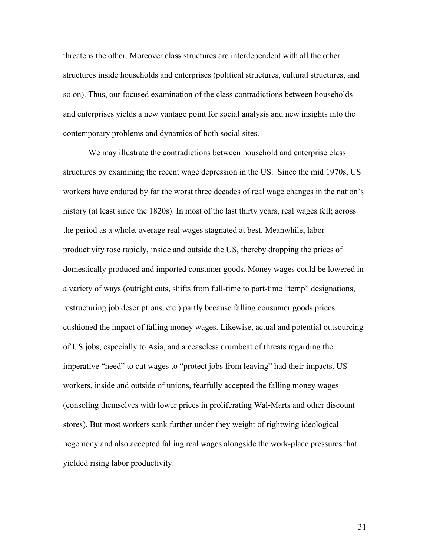threatens the other. Moreover class structures are interdependent with all the other structures inside households and enterprises (political structures, cultural structures, and so on). Thus, our focused examination of the class contradictions between households and enterprises yields a new vantage point for social analysis and new insights into the contemporary problems and dynamics of both social sites.

We may illustrate the contradictions between household and enterprise class structures by examining the recent wage depression in the US. Since the mid 1970s, US workers have endured by far the worst three decades of real wage changes in the nation's history (at least since the 1820s). In most of the last thirty years, real wages fell; across the period as a whole, average real wages stagnated at best. Meanwhile, labor productivity rose rapidly, inside and outside the US, thereby dropping the prices of domestically produced and imported consumer goods. Money wages could be lowered in a variety of ways (outright cuts, shifts from full-time to part-time "temp" designations, restructuring job descriptions, etc.) partly because falling consumer goods prices cushioned the impact of falling money wages. Likewise, actual and potential outsourcing of US jobs, especially to Asia, and a ceaseless drumbeat of threats regarding the imperative "need" to cut wages to "protect jobs from leaving" had their impacts. US workers, inside and outside of unions, fearfully accepted the falling money wages (consoling themselves with lower prices in proliferating Wal-Marts and other discount stores). But most workers sank further under they weight of rightwing ideological hegemony and also accepted falling real wages alongside the work-place pressures that yielded rising labor productivity.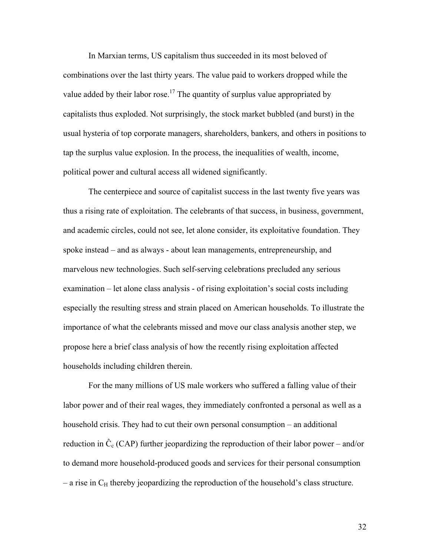In Marxian terms, US capitalism thus succeeded in its most beloved of combinations over the last thirty years. The value paid to workers dropped while the value added by their labor rose.<sup>17</sup> The quantity of surplus value appropriated by capitalists thus exploded. Not surprisingly, the stock market bubbled (and burst) in the usual hysteria of top corporate managers, shareholders, bankers, and others in positions to tap the surplus value explosion. In the process, the inequalities of wealth, income, political power and cultural access all widened significantly.

The centerpiece and source of capitalist success in the last twenty five years was thus a rising rate of exploitation. The celebrants of that success, in business, government, and academic circles, could not see, let alone consider, its exploitative foundation. They spoke instead – and as always - about lean managements, entrepreneurship, and marvelous new technologies. Such self-serving celebrations precluded any serious examination – let alone class analysis - of rising exploitation's social costs including especially the resulting stress and strain placed on American households. To illustrate the importance of what the celebrants missed and move our class analysis another step, we propose here a brief class analysis of how the recently rising exploitation affected households including children therein.

For the many millions of US male workers who suffered a falling value of their labor power and of their real wages, they immediately confronted a personal as well as a household crisis. They had to cut their own personal consumption – an additional reduction in  $\hat{C}_{c}$  (CAP) further jeopardizing the reproduction of their labor power – and/or to demand more household-produced goods and services for their personal consumption  $-$  a rise in  $C_H$  thereby jeopardizing the reproduction of the household's class structure.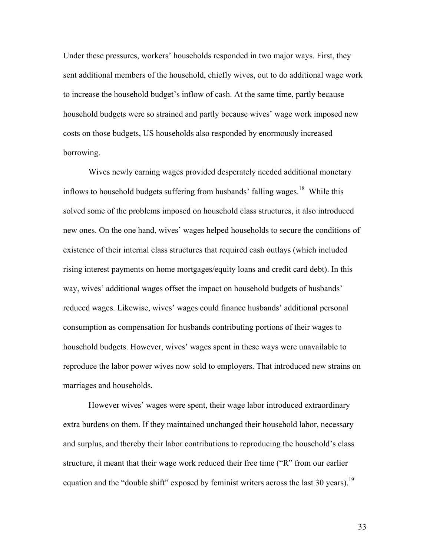Under these pressures, workers' households responded in two major ways. First, they sent additional members of the household, chiefly wives, out to do additional wage work to increase the household budget's inflow of cash. At the same time, partly because household budgets were so strained and partly because wives' wage work imposed new costs on those budgets, US households also responded by enormously increased borrowing.

Wives newly earning wages provided desperately needed additional monetary inflows to household budgets suffering from husbands' falling wages.<sup>18</sup> While this solved some of the problems imposed on household class structures, it also introduced new ones. On the one hand, wives' wages helped households to secure the conditions of existence of their internal class structures that required cash outlays (which included rising interest payments on home mortgages/equity loans and credit card debt). In this way, wives' additional wages offset the impact on household budgets of husbands' reduced wages. Likewise, wives' wages could finance husbands' additional personal consumption as compensation for husbands contributing portions of their wages to household budgets. However, wives' wages spent in these ways were unavailable to reproduce the labor power wives now sold to employers. That introduced new strains on marriages and households.

However wives' wages were spent, their wage labor introduced extraordinary extra burdens on them. If they maintained unchanged their household labor, necessary and surplus, and thereby their labor contributions to reproducing the household's class structure, it meant that their wage work reduced their free time ("R" from our earlier equation and the "double shift" exposed by feminist writers across the last 30 years).<sup>19</sup>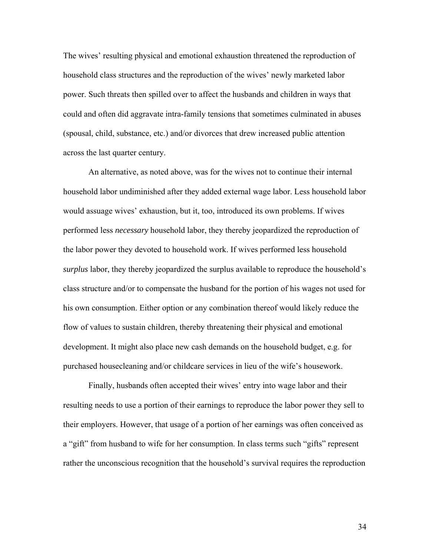The wives' resulting physical and emotional exhaustion threatened the reproduction of household class structures and the reproduction of the wives' newly marketed labor power. Such threats then spilled over to affect the husbands and children in ways that could and often did aggravate intra-family tensions that sometimes culminated in abuses (spousal, child, substance, etc.) and/or divorces that drew increased public attention across the last quarter century.

An alternative, as noted above, was for the wives not to continue their internal household labor undiminished after they added external wage labor. Less household labor would assuage wives' exhaustion, but it, too, introduced its own problems. If wives performed less *necessary* household labor, they thereby jeopardized the reproduction of the labor power they devoted to household work. If wives performed less household *surplus* labor, they thereby jeopardized the surplus available to reproduce the household's class structure and/or to compensate the husband for the portion of his wages not used for his own consumption. Either option or any combination thereof would likely reduce the flow of values to sustain children, thereby threatening their physical and emotional development. It might also place new cash demands on the household budget, e.g. for purchased housecleaning and/or childcare services in lieu of the wife's housework.

Finally, husbands often accepted their wives' entry into wage labor and their resulting needs to use a portion of their earnings to reproduce the labor power they sell to their employers. However, that usage of a portion of her earnings was often conceived as a "gift" from husband to wife for her consumption. In class terms such "gifts" represent rather the unconscious recognition that the household's survival requires the reproduction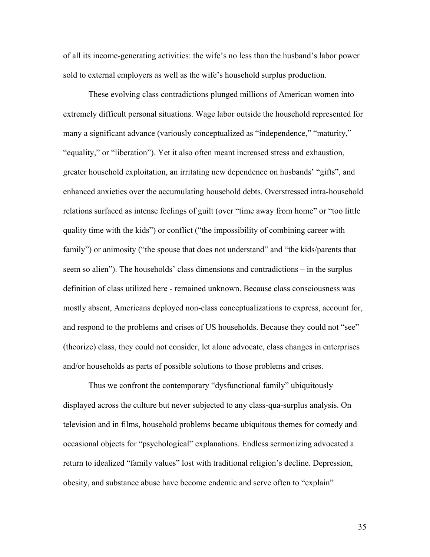of all its income-generating activities: the wife's no less than the husband's labor power sold to external employers as well as the wife's household surplus production.

These evolving class contradictions plunged millions of American women into extremely difficult personal situations. Wage labor outside the household represented for many a significant advance (variously conceptualized as "independence," "maturity," "equality," or "liberation"). Yet it also often meant increased stress and exhaustion, greater household exploitation, an irritating new dependence on husbands' "gifts", and enhanced anxieties over the accumulating household debts. Overstressed intra-household relations surfaced as intense feelings of guilt (over "time away from home" or "too little quality time with the kids") or conflict ("the impossibility of combining career with family") or animosity ("the spouse that does not understand" and "the kids/parents that seem so alien"). The households' class dimensions and contradictions – in the surplus definition of class utilized here - remained unknown. Because class consciousness was mostly absent, Americans deployed non-class conceptualizations to express, account for, and respond to the problems and crises of US households. Because they could not "see" (theorize) class, they could not consider, let alone advocate, class changes in enterprises and/or households as parts of possible solutions to those problems and crises.

Thus we confront the contemporary "dysfunctional family" ubiquitously displayed across the culture but never subjected to any class-qua-surplus analysis. On television and in films, household problems became ubiquitous themes for comedy and occasional objects for "psychological" explanations. Endless sermonizing advocated a return to idealized "family values" lost with traditional religion's decline. Depression, obesity, and substance abuse have become endemic and serve often to "explain"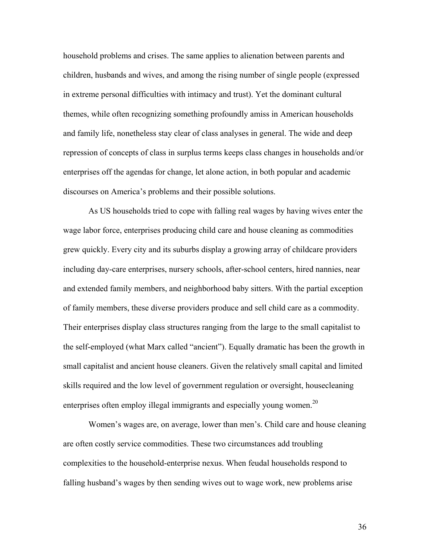household problems and crises. The same applies to alienation between parents and children, husbands and wives, and among the rising number of single people (expressed in extreme personal difficulties with intimacy and trust). Yet the dominant cultural themes, while often recognizing something profoundly amiss in American households and family life, nonetheless stay clear of class analyses in general. The wide and deep repression of concepts of class in surplus terms keeps class changes in households and/or enterprises off the agendas for change, let alone action, in both popular and academic discourses on America's problems and their possible solutions.

As US households tried to cope with falling real wages by having wives enter the wage labor force, enterprises producing child care and house cleaning as commodities grew quickly. Every city and its suburbs display a growing array of childcare providers including day-care enterprises, nursery schools, after-school centers, hired nannies, near and extended family members, and neighborhood baby sitters. With the partial exception of family members, these diverse providers produce and sell child care as a commodity. Their enterprises display class structures ranging from the large to the small capitalist to the self-employed (what Marx called "ancient"). Equally dramatic has been the growth in small capitalist and ancient house cleaners. Given the relatively small capital and limited skills required and the low level of government regulation or oversight, housecleaning enterprises often employ illegal immigrants and especially young women.<sup>20</sup>

Women's wages are, on average, lower than men's. Child care and house cleaning are often costly service commodities. These two circumstances add troubling complexities to the household-enterprise nexus. When feudal households respond to falling husband's wages by then sending wives out to wage work, new problems arise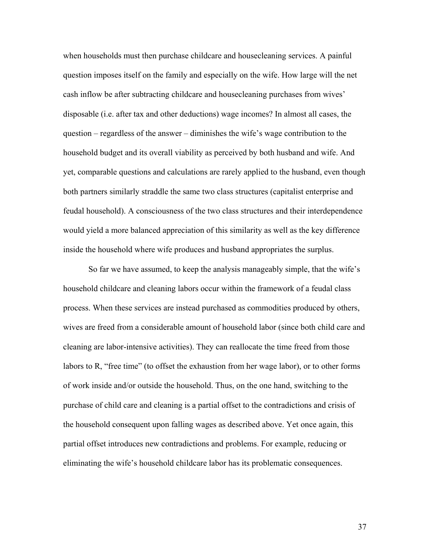when households must then purchase childcare and housecleaning services. A painful question imposes itself on the family and especially on the wife. How large will the net cash inflow be after subtracting childcare and housecleaning purchases from wives' disposable (i.e. after tax and other deductions) wage incomes? In almost all cases, the question – regardless of the answer – diminishes the wife's wage contribution to the household budget and its overall viability as perceived by both husband and wife. And yet, comparable questions and calculations are rarely applied to the husband, even though both partners similarly straddle the same two class structures (capitalist enterprise and feudal household). A consciousness of the two class structures and their interdependence would yield a more balanced appreciation of this similarity as well as the key difference inside the household where wife produces and husband appropriates the surplus.

So far we have assumed, to keep the analysis manageably simple, that the wife's household childcare and cleaning labors occur within the framework of a feudal class process. When these services are instead purchased as commodities produced by others, wives are freed from a considerable amount of household labor (since both child care and cleaning are labor-intensive activities). They can reallocate the time freed from those labors to R, "free time" (to offset the exhaustion from her wage labor), or to other forms of work inside and/or outside the household. Thus, on the one hand, switching to the purchase of child care and cleaning is a partial offset to the contradictions and crisis of the household consequent upon falling wages as described above. Yet once again, this partial offset introduces new contradictions and problems. For example, reducing or eliminating the wife's household childcare labor has its problematic consequences.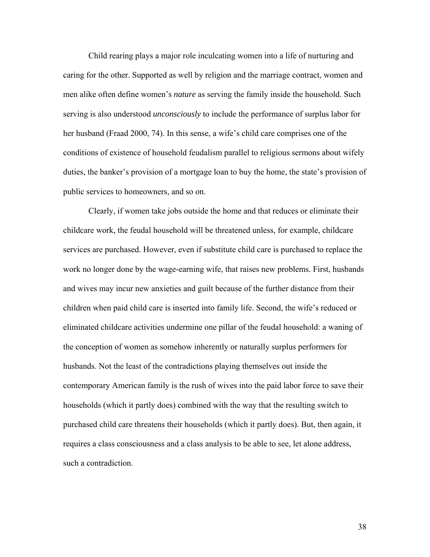Child rearing plays a major role inculcating women into a life of nurturing and caring for the other. Supported as well by religion and the marriage contract, women and men alike often define women's *nature* as serving the family inside the household. Such serving is also understood *unconsciously* to include the performance of surplus labor for her husband (Fraad 2000, 74). In this sense, a wife's child care comprises one of the conditions of existence of household feudalism parallel to religious sermons about wifely duties, the banker's provision of a mortgage loan to buy the home, the state's provision of public services to homeowners, and so on.

Clearly, if women take jobs outside the home and that reduces or eliminate their childcare work, the feudal household will be threatened unless, for example, childcare services are purchased. However, even if substitute child care is purchased to replace the work no longer done by the wage-earning wife, that raises new problems. First, husbands and wives may incur new anxieties and guilt because of the further distance from their children when paid child care is inserted into family life. Second, the wife's reduced or eliminated childcare activities undermine one pillar of the feudal household: a waning of the conception of women as somehow inherently or naturally surplus performers for husbands. Not the least of the contradictions playing themselves out inside the contemporary American family is the rush of wives into the paid labor force to save their households (which it partly does) combined with the way that the resulting switch to purchased child care threatens their households (which it partly does). But, then again, it requires a class consciousness and a class analysis to be able to see, let alone address, such a contradiction.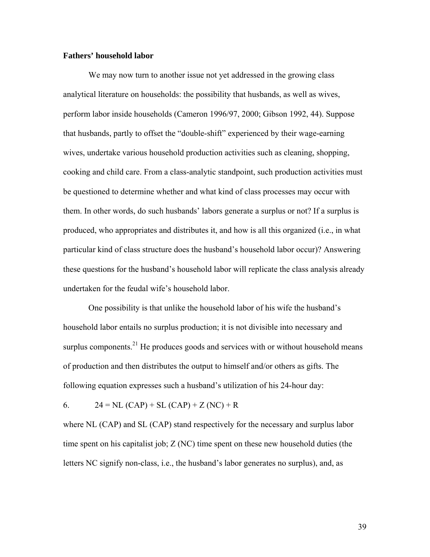#### **Fathers' household labor**

We may now turn to another issue not yet addressed in the growing class analytical literature on households: the possibility that husbands, as well as wives, perform labor inside households (Cameron 1996/97, 2000; Gibson 1992, 44). Suppose that husbands, partly to offset the "double-shift" experienced by their wage-earning wives, undertake various household production activities such as cleaning, shopping, cooking and child care. From a class-analytic standpoint, such production activities must be questioned to determine whether and what kind of class processes may occur with them. In other words, do such husbands' labors generate a surplus or not? If a surplus is produced, who appropriates and distributes it, and how is all this organized (i.e., in what particular kind of class structure does the husband's household labor occur)? Answering these questions for the husband's household labor will replicate the class analysis already undertaken for the feudal wife's household labor.

One possibility is that unlike the household labor of his wife the husband's household labor entails no surplus production; it is not divisible into necessary and surplus components. $21$  He produces goods and services with or without household means of production and then distributes the output to himself and/or others as gifts. The following equation expresses such a husband's utilization of his 24-hour day:

6.  $24 = NL (CAP) + SL (CAP) + Z (NC) + R$ 

where NL (CAP) and SL (CAP) stand respectively for the necessary and surplus labor time spent on his capitalist job;  $Z$  (NC) time spent on these new household duties (the letters NC signify non-class, i.e., the husband's labor generates no surplus), and, as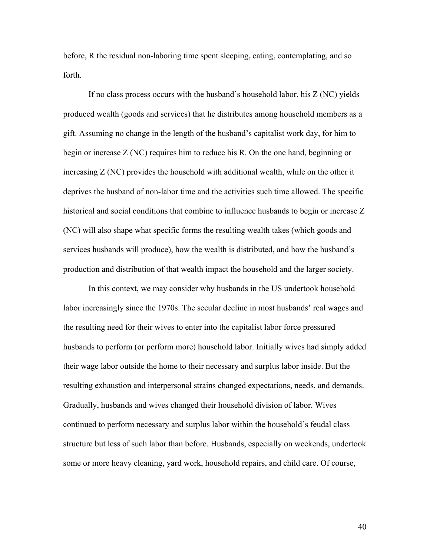before, R the residual non-laboring time spent sleeping, eating, contemplating, and so forth.

If no class process occurs with the husband's household labor, his Z (NC) yields produced wealth (goods and services) that he distributes among household members as a gift. Assuming no change in the length of the husband's capitalist work day, for him to begin or increase Z (NC) requires him to reduce his R. On the one hand, beginning or increasing Z (NC) provides the household with additional wealth, while on the other it deprives the husband of non-labor time and the activities such time allowed. The specific historical and social conditions that combine to influence husbands to begin or increase Z (NC) will also shape what specific forms the resulting wealth takes (which goods and services husbands will produce), how the wealth is distributed, and how the husband's production and distribution of that wealth impact the household and the larger society.

In this context, we may consider why husbands in the US undertook household labor increasingly since the 1970s. The secular decline in most husbands' real wages and the resulting need for their wives to enter into the capitalist labor force pressured husbands to perform (or perform more) household labor. Initially wives had simply added their wage labor outside the home to their necessary and surplus labor inside. But the resulting exhaustion and interpersonal strains changed expectations, needs, and demands. Gradually, husbands and wives changed their household division of labor. Wives continued to perform necessary and surplus labor within the household's feudal class structure but less of such labor than before. Husbands, especially on weekends, undertook some or more heavy cleaning, yard work, household repairs, and child care. Of course,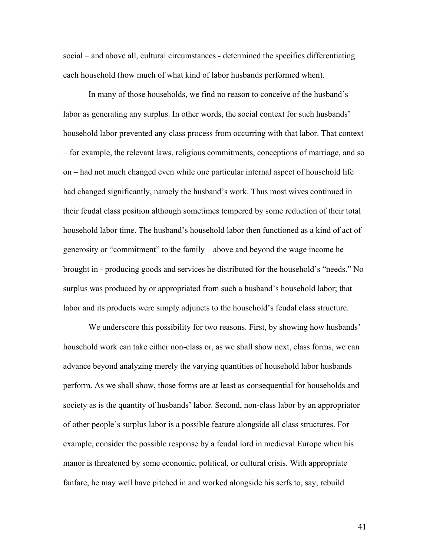social – and above all, cultural circumstances - determined the specifics differentiating each household (how much of what kind of labor husbands performed when).

In many of those households, we find no reason to conceive of the husband's labor as generating any surplus. In other words, the social context for such husbands' household labor prevented any class process from occurring with that labor. That context – for example, the relevant laws, religious commitments, conceptions of marriage, and so on – had not much changed even while one particular internal aspect of household life had changed significantly, namely the husband's work. Thus most wives continued in their feudal class position although sometimes tempered by some reduction of their total household labor time. The husband's household labor then functioned as a kind of act of generosity or "commitment" to the family – above and beyond the wage income he brought in - producing goods and services he distributed for the household's "needs." No surplus was produced by or appropriated from such a husband's household labor; that labor and its products were simply adjuncts to the household's feudal class structure.

We underscore this possibility for two reasons. First, by showing how husbands' household work can take either non-class or, as we shall show next, class forms, we can advance beyond analyzing merely the varying quantities of household labor husbands perform. As we shall show, those forms are at least as consequential for households and society as is the quantity of husbands' labor. Second, non-class labor by an appropriator of other people's surplus labor is a possible feature alongside all class structures. For example, consider the possible response by a feudal lord in medieval Europe when his manor is threatened by some economic, political, or cultural crisis. With appropriate fanfare, he may well have pitched in and worked alongside his serfs to, say, rebuild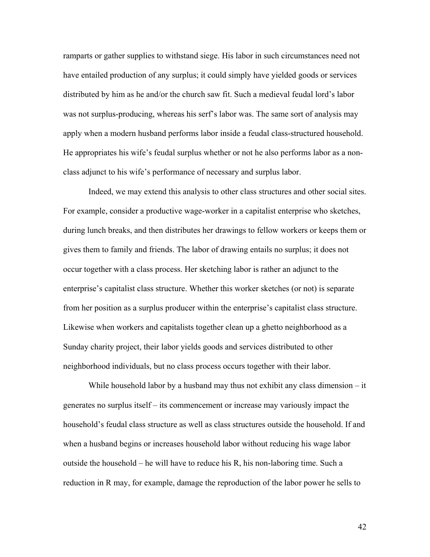ramparts or gather supplies to withstand siege. His labor in such circumstances need not have entailed production of any surplus; it could simply have yielded goods or services distributed by him as he and/or the church saw fit. Such a medieval feudal lord's labor was not surplus-producing, whereas his serf's labor was. The same sort of analysis may apply when a modern husband performs labor inside a feudal class-structured household. He appropriates his wife's feudal surplus whether or not he also performs labor as a nonclass adjunct to his wife's performance of necessary and surplus labor.

Indeed, we may extend this analysis to other class structures and other social sites. For example, consider a productive wage-worker in a capitalist enterprise who sketches, during lunch breaks, and then distributes her drawings to fellow workers or keeps them or gives them to family and friends. The labor of drawing entails no surplus; it does not occur together with a class process. Her sketching labor is rather an adjunct to the enterprise's capitalist class structure. Whether this worker sketches (or not) is separate from her position as a surplus producer within the enterprise's capitalist class structure. Likewise when workers and capitalists together clean up a ghetto neighborhood as a Sunday charity project, their labor yields goods and services distributed to other neighborhood individuals, but no class process occurs together with their labor.

While household labor by a husband may thus not exhibit any class dimension – it generates no surplus itself – its commencement or increase may variously impact the household's feudal class structure as well as class structures outside the household. If and when a husband begins or increases household labor without reducing his wage labor outside the household – he will have to reduce his R, his non-laboring time. Such a reduction in R may, for example, damage the reproduction of the labor power he sells to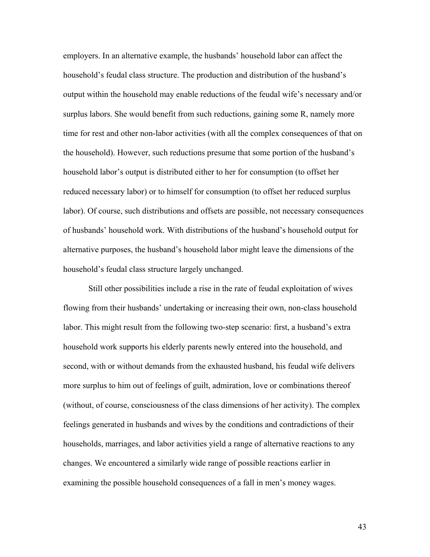employers. In an alternative example, the husbands' household labor can affect the household's feudal class structure. The production and distribution of the husband's output within the household may enable reductions of the feudal wife's necessary and/or surplus labors. She would benefit from such reductions, gaining some R, namely more time for rest and other non-labor activities (with all the complex consequences of that on the household). However, such reductions presume that some portion of the husband's household labor's output is distributed either to her for consumption (to offset her reduced necessary labor) or to himself for consumption (to offset her reduced surplus labor). Of course, such distributions and offsets are possible, not necessary consequences of husbands' household work. With distributions of the husband's household output for alternative purposes, the husband's household labor might leave the dimensions of the household's feudal class structure largely unchanged.

 Still other possibilities include a rise in the rate of feudal exploitation of wives flowing from their husbands' undertaking or increasing their own, non-class household labor. This might result from the following two-step scenario: first, a husband's extra household work supports his elderly parents newly entered into the household, and second, with or without demands from the exhausted husband, his feudal wife delivers more surplus to him out of feelings of guilt, admiration, love or combinations thereof (without, of course, consciousness of the class dimensions of her activity). The complex feelings generated in husbands and wives by the conditions and contradictions of their households, marriages, and labor activities yield a range of alternative reactions to any changes. We encountered a similarly wide range of possible reactions earlier in examining the possible household consequences of a fall in men's money wages.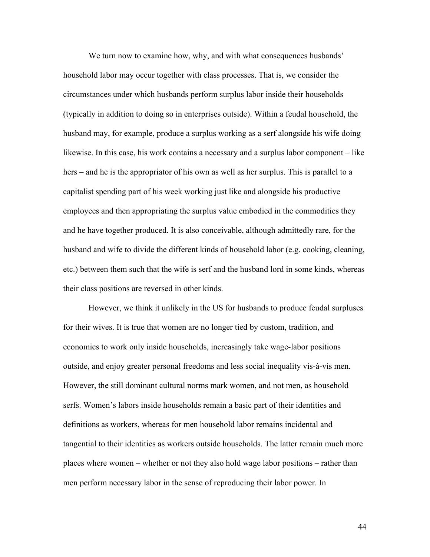We turn now to examine how, why, and with what consequences husbands' household labor may occur together with class processes. That is, we consider the circumstances under which husbands perform surplus labor inside their households (typically in addition to doing so in enterprises outside). Within a feudal household, the husband may, for example, produce a surplus working as a serf alongside his wife doing likewise. In this case, his work contains a necessary and a surplus labor component – like hers – and he is the appropriator of his own as well as her surplus. This is parallel to a capitalist spending part of his week working just like and alongside his productive employees and then appropriating the surplus value embodied in the commodities they and he have together produced. It is also conceivable, although admittedly rare, for the husband and wife to divide the different kinds of household labor (e.g. cooking, cleaning, etc.) between them such that the wife is serf and the husband lord in some kinds, whereas their class positions are reversed in other kinds.

However, we think it unlikely in the US for husbands to produce feudal surpluses for their wives. It is true that women are no longer tied by custom, tradition, and economics to work only inside households, increasingly take wage-labor positions outside, and enjoy greater personal freedoms and less social inequality vis-à-vis men. However, the still dominant cultural norms mark women, and not men, as household serfs. Women's labors inside households remain a basic part of their identities and definitions as workers, whereas for men household labor remains incidental and tangential to their identities as workers outside households. The latter remain much more places where women – whether or not they also hold wage labor positions – rather than men perform necessary labor in the sense of reproducing their labor power. In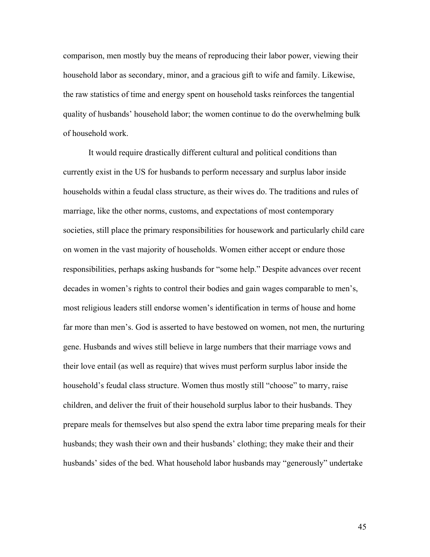comparison, men mostly buy the means of reproducing their labor power, viewing their household labor as secondary, minor, and a gracious gift to wife and family. Likewise, the raw statistics of time and energy spent on household tasks reinforces the tangential quality of husbands' household labor; the women continue to do the overwhelming bulk of household work.

It would require drastically different cultural and political conditions than currently exist in the US for husbands to perform necessary and surplus labor inside households within a feudal class structure, as their wives do. The traditions and rules of marriage, like the other norms, customs, and expectations of most contemporary societies, still place the primary responsibilities for housework and particularly child care on women in the vast majority of households. Women either accept or endure those responsibilities, perhaps asking husbands for "some help." Despite advances over recent decades in women's rights to control their bodies and gain wages comparable to men's, most religious leaders still endorse women's identification in terms of house and home far more than men's. God is asserted to have bestowed on women, not men, the nurturing gene. Husbands and wives still believe in large numbers that their marriage vows and their love entail (as well as require) that wives must perform surplus labor inside the household's feudal class structure. Women thus mostly still "choose" to marry, raise children, and deliver the fruit of their household surplus labor to their husbands. They prepare meals for themselves but also spend the extra labor time preparing meals for their husbands; they wash their own and their husbands' clothing; they make their and their husbands' sides of the bed. What household labor husbands may "generously" undertake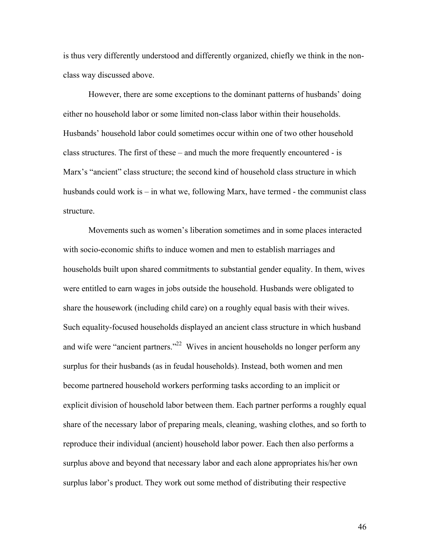is thus very differently understood and differently organized, chiefly we think in the nonclass way discussed above.

However, there are some exceptions to the dominant patterns of husbands' doing either no household labor or some limited non-class labor within their households. Husbands' household labor could sometimes occur within one of two other household class structures. The first of these – and much the more frequently encountered - is Marx's "ancient" class structure; the second kind of household class structure in which husbands could work is – in what we, following Marx, have termed - the communist class structure.

Movements such as women's liberation sometimes and in some places interacted with socio-economic shifts to induce women and men to establish marriages and households built upon shared commitments to substantial gender equality. In them, wives were entitled to earn wages in jobs outside the household. Husbands were obligated to share the housework (including child care) on a roughly equal basis with their wives. Such equality-focused households displayed an ancient class structure in which husband and wife were "ancient partners."<sup>22</sup> Wives in ancient households no longer perform any surplus for their husbands (as in feudal households). Instead, both women and men become partnered household workers performing tasks according to an implicit or explicit division of household labor between them. Each partner performs a roughly equal share of the necessary labor of preparing meals, cleaning, washing clothes, and so forth to reproduce their individual (ancient) household labor power. Each then also performs a surplus above and beyond that necessary labor and each alone appropriates his/her own surplus labor's product. They work out some method of distributing their respective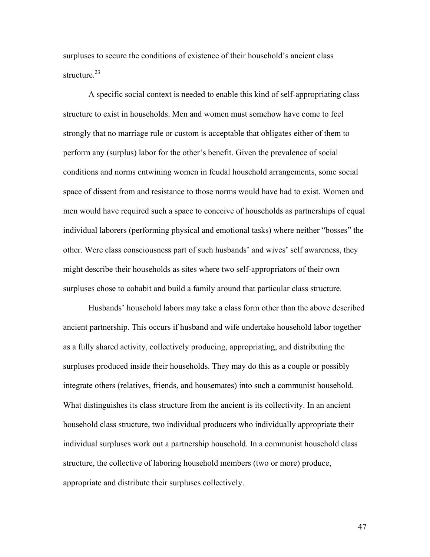surpluses to secure the conditions of existence of their household's ancient class structure.<sup>23</sup>

A specific social context is needed to enable this kind of self-appropriating class structure to exist in households. Men and women must somehow have come to feel strongly that no marriage rule or custom is acceptable that obligates either of them to perform any (surplus) labor for the other's benefit. Given the prevalence of social conditions and norms entwining women in feudal household arrangements, some social space of dissent from and resistance to those norms would have had to exist. Women and men would have required such a space to conceive of households as partnerships of equal individual laborers (performing physical and emotional tasks) where neither "bosses" the other. Were class consciousness part of such husbands' and wives' self awareness, they might describe their households as sites where two self-appropriators of their own surpluses chose to cohabit and build a family around that particular class structure.

Husbands' household labors may take a class form other than the above described ancient partnership. This occurs if husband and wife undertake household labor together as a fully shared activity, collectively producing, appropriating, and distributing the surpluses produced inside their households. They may do this as a couple or possibly integrate others (relatives, friends, and housemates) into such a communist household. What distinguishes its class structure from the ancient is its collectivity. In an ancient household class structure, two individual producers who individually appropriate their individual surpluses work out a partnership household. In a communist household class structure, the collective of laboring household members (two or more) produce, appropriate and distribute their surpluses collectively.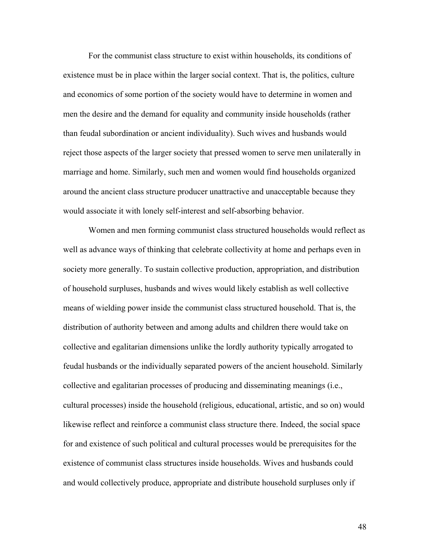For the communist class structure to exist within households, its conditions of existence must be in place within the larger social context. That is, the politics, culture and economics of some portion of the society would have to determine in women and men the desire and the demand for equality and community inside households (rather than feudal subordination or ancient individuality). Such wives and husbands would reject those aspects of the larger society that pressed women to serve men unilaterally in marriage and home. Similarly, such men and women would find households organized around the ancient class structure producer unattractive and unacceptable because they would associate it with lonely self-interest and self-absorbing behavior.

Women and men forming communist class structured households would reflect as well as advance ways of thinking that celebrate collectivity at home and perhaps even in society more generally. To sustain collective production, appropriation, and distribution of household surpluses, husbands and wives would likely establish as well collective means of wielding power inside the communist class structured household. That is, the distribution of authority between and among adults and children there would take on collective and egalitarian dimensions unlike the lordly authority typically arrogated to feudal husbands or the individually separated powers of the ancient household. Similarly collective and egalitarian processes of producing and disseminating meanings (i.e., cultural processes) inside the household (religious, educational, artistic, and so on) would likewise reflect and reinforce a communist class structure there. Indeed, the social space for and existence of such political and cultural processes would be prerequisites for the existence of communist class structures inside households. Wives and husbands could and would collectively produce, appropriate and distribute household surpluses only if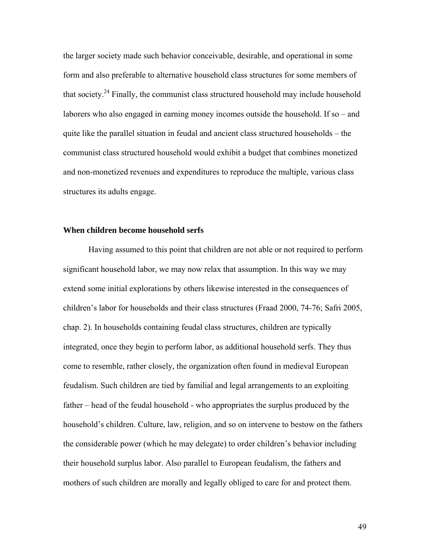the larger society made such behavior conceivable, desirable, and operational in some form and also preferable to alternative household class structures for some members of that society.<sup>24</sup> Finally, the communist class structured household may include household laborers who also engaged in earning money incomes outside the household. If so – and quite like the parallel situation in feudal and ancient class structured households – the communist class structured household would exhibit a budget that combines monetized and non-monetized revenues and expenditures to reproduce the multiple, various class structures its adults engage.

#### **When children become household serfs**

Having assumed to this point that children are not able or not required to perform significant household labor, we may now relax that assumption. In this way we may extend some initial explorations by others likewise interested in the consequences of children's labor for households and their class structures (Fraad 2000, 74-76; Safri 2005, chap. 2). In households containing feudal class structures, children are typically integrated, once they begin to perform labor, as additional household serfs. They thus come to resemble, rather closely, the organization often found in medieval European feudalism. Such children are tied by familial and legal arrangements to an exploiting father – head of the feudal household - who appropriates the surplus produced by the household's children. Culture, law, religion, and so on intervene to bestow on the fathers the considerable power (which he may delegate) to order children's behavior including their household surplus labor. Also parallel to European feudalism, the fathers and mothers of such children are morally and legally obliged to care for and protect them.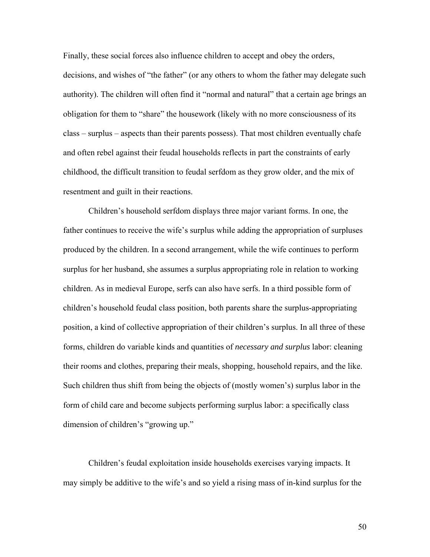Finally, these social forces also influence children to accept and obey the orders, decisions, and wishes of "the father" (or any others to whom the father may delegate such authority). The children will often find it "normal and natural" that a certain age brings an obligation for them to "share" the housework (likely with no more consciousness of its class – surplus – aspects than their parents possess). That most children eventually chafe and often rebel against their feudal households reflects in part the constraints of early childhood, the difficult transition to feudal serfdom as they grow older, and the mix of resentment and guilt in their reactions.

Children's household serfdom displays three major variant forms. In one, the father continues to receive the wife's surplus while adding the appropriation of surpluses produced by the children. In a second arrangement, while the wife continues to perform surplus for her husband, she assumes a surplus appropriating role in relation to working children. As in medieval Europe, serfs can also have serfs. In a third possible form of children's household feudal class position, both parents share the surplus-appropriating position, a kind of collective appropriation of their children's surplus. In all three of these forms, children do variable kinds and quantities of *necessary and surplus* labor: cleaning their rooms and clothes, preparing their meals, shopping, household repairs, and the like. Such children thus shift from being the objects of (mostly women's) surplus labor in the form of child care and become subjects performing surplus labor: a specifically class dimension of children's "growing up."

Children's feudal exploitation inside households exercises varying impacts. It may simply be additive to the wife's and so yield a rising mass of in-kind surplus for the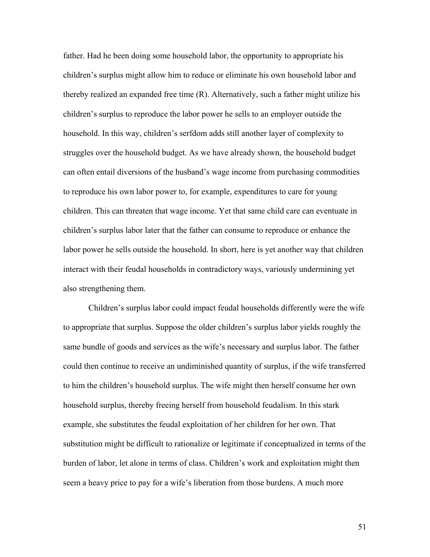father. Had he been doing some household labor, the opportunity to appropriate his children's surplus might allow him to reduce or eliminate his own household labor and thereby realized an expanded free time (R). Alternatively, such a father might utilize his children's surplus to reproduce the labor power he sells to an employer outside the household. In this way, children's serfdom adds still another layer of complexity to struggles over the household budget. As we have already shown, the household budget can often entail diversions of the husband's wage income from purchasing commodities to reproduce his own labor power to, for example, expenditures to care for young children. This can threaten that wage income. Yet that same child care can eventuate in children's surplus labor later that the father can consume to reproduce or enhance the labor power he sells outside the household. In short, here is yet another way that children interact with their feudal households in contradictory ways, variously undermining yet also strengthening them.

Children's surplus labor could impact feudal households differently were the wife to appropriate that surplus. Suppose the older children's surplus labor yields roughly the same bundle of goods and services as the wife's necessary and surplus labor. The father could then continue to receive an undiminished quantity of surplus, if the wife transferred to him the children's household surplus. The wife might then herself consume her own household surplus, thereby freeing herself from household feudalism. In this stark example, she substitutes the feudal exploitation of her children for her own. That substitution might be difficult to rationalize or legitimate if conceptualized in terms of the burden of labor, let alone in terms of class. Children's work and exploitation might then seem a heavy price to pay for a wife's liberation from those burdens. A much more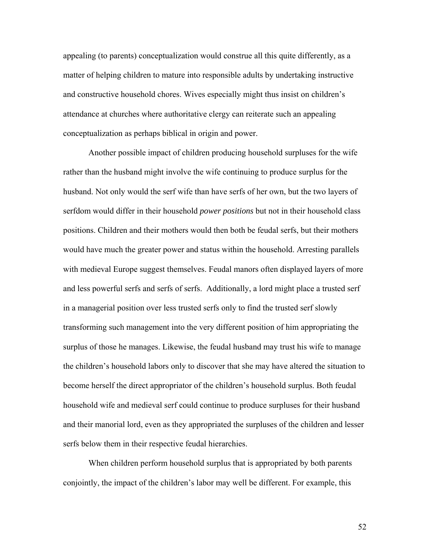appealing (to parents) conceptualization would construe all this quite differently, as a matter of helping children to mature into responsible adults by undertaking instructive and constructive household chores. Wives especially might thus insist on children's attendance at churches where authoritative clergy can reiterate such an appealing conceptualization as perhaps biblical in origin and power.

Another possible impact of children producing household surpluses for the wife rather than the husband might involve the wife continuing to produce surplus for the husband. Not only would the serf wife than have serfs of her own, but the two layers of serfdom would differ in their household *power positions* but not in their household class positions. Children and their mothers would then both be feudal serfs, but their mothers would have much the greater power and status within the household. Arresting parallels with medieval Europe suggest themselves. Feudal manors often displayed layers of more and less powerful serfs and serfs of serfs. Additionally, a lord might place a trusted serf in a managerial position over less trusted serfs only to find the trusted serf slowly transforming such management into the very different position of him appropriating the surplus of those he manages. Likewise, the feudal husband may trust his wife to manage the children's household labors only to discover that she may have altered the situation to become herself the direct appropriator of the children's household surplus. Both feudal household wife and medieval serf could continue to produce surpluses for their husband and their manorial lord, even as they appropriated the surpluses of the children and lesser serfs below them in their respective feudal hierarchies.

When children perform household surplus that is appropriated by both parents conjointly, the impact of the children's labor may well be different. For example, this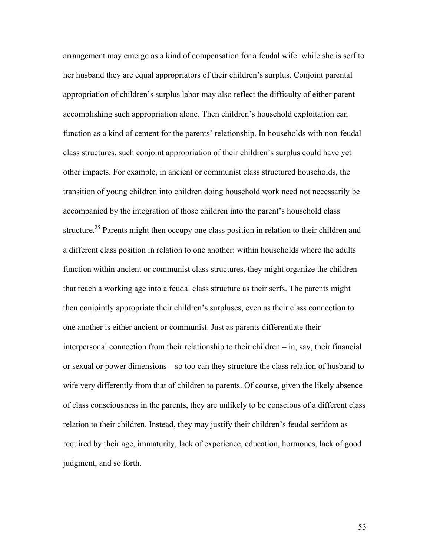arrangement may emerge as a kind of compensation for a feudal wife: while she is serf to her husband they are equal appropriators of their children's surplus. Conjoint parental appropriation of children's surplus labor may also reflect the difficulty of either parent accomplishing such appropriation alone. Then children's household exploitation can function as a kind of cement for the parents' relationship. In households with non-feudal class structures, such conjoint appropriation of their children's surplus could have yet other impacts. For example, in ancient or communist class structured households, the transition of young children into children doing household work need not necessarily be accompanied by the integration of those children into the parent's household class structure.<sup>25</sup> Parents might then occupy one class position in relation to their children and a different class position in relation to one another: within households where the adults function within ancient or communist class structures, they might organize the children that reach a working age into a feudal class structure as their serfs. The parents might then conjointly appropriate their children's surpluses, even as their class connection to one another is either ancient or communist. Just as parents differentiate their interpersonal connection from their relationship to their children – in, say, their financial or sexual or power dimensions – so too can they structure the class relation of husband to wife very differently from that of children to parents. Of course, given the likely absence of class consciousness in the parents, they are unlikely to be conscious of a different class relation to their children. Instead, they may justify their children's feudal serfdom as required by their age, immaturity, lack of experience, education, hormones, lack of good judgment, and so forth.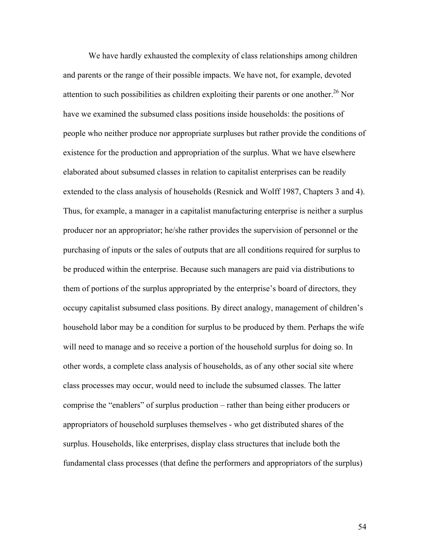We have hardly exhausted the complexity of class relationships among children and parents or the range of their possible impacts. We have not, for example, devoted attention to such possibilities as children exploiting their parents or one another.<sup>26</sup> Nor have we examined the subsumed class positions inside households: the positions of people who neither produce nor appropriate surpluses but rather provide the conditions of existence for the production and appropriation of the surplus. What we have elsewhere elaborated about subsumed classes in relation to capitalist enterprises can be readily extended to the class analysis of households (Resnick and Wolff 1987, Chapters 3 and 4). Thus, for example, a manager in a capitalist manufacturing enterprise is neither a surplus producer nor an appropriator; he/she rather provides the supervision of personnel or the purchasing of inputs or the sales of outputs that are all conditions required for surplus to be produced within the enterprise. Because such managers are paid via distributions to them of portions of the surplus appropriated by the enterprise's board of directors, they occupy capitalist subsumed class positions. By direct analogy, management of children's household labor may be a condition for surplus to be produced by them. Perhaps the wife will need to manage and so receive a portion of the household surplus for doing so. In other words, a complete class analysis of households, as of any other social site where class processes may occur, would need to include the subsumed classes. The latter comprise the "enablers" of surplus production – rather than being either producers or appropriators of household surpluses themselves - who get distributed shares of the surplus. Households, like enterprises, display class structures that include both the fundamental class processes (that define the performers and appropriators of the surplus)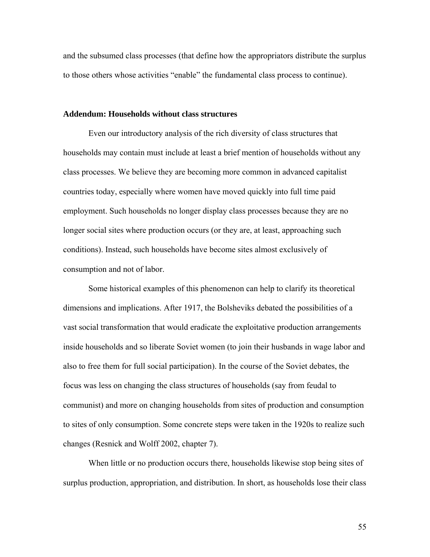and the subsumed class processes (that define how the appropriators distribute the surplus to those others whose activities "enable" the fundamental class process to continue).

#### **Addendum: Households without class structures**

Even our introductory analysis of the rich diversity of class structures that households may contain must include at least a brief mention of households without any class processes. We believe they are becoming more common in advanced capitalist countries today, especially where women have moved quickly into full time paid employment. Such households no longer display class processes because they are no longer social sites where production occurs (or they are, at least, approaching such conditions). Instead, such households have become sites almost exclusively of consumption and not of labor.

Some historical examples of this phenomenon can help to clarify its theoretical dimensions and implications. After 1917, the Bolsheviks debated the possibilities of a vast social transformation that would eradicate the exploitative production arrangements inside households and so liberate Soviet women (to join their husbands in wage labor and also to free them for full social participation). In the course of the Soviet debates, the focus was less on changing the class structures of households (say from feudal to communist) and more on changing households from sites of production and consumption to sites of only consumption. Some concrete steps were taken in the 1920s to realize such changes (Resnick and Wolff 2002, chapter 7).

When little or no production occurs there, households likewise stop being sites of surplus production, appropriation, and distribution. In short, as households lose their class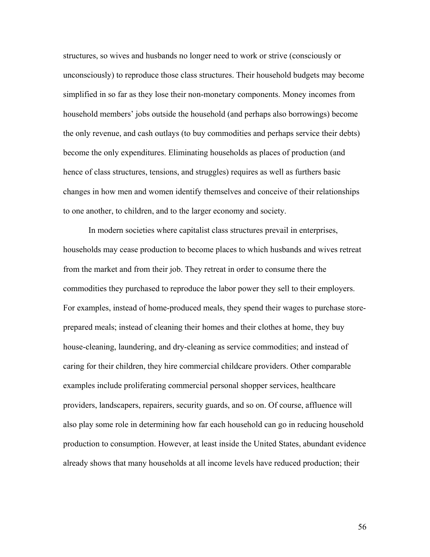structures, so wives and husbands no longer need to work or strive (consciously or unconsciously) to reproduce those class structures. Their household budgets may become simplified in so far as they lose their non-monetary components. Money incomes from household members' jobs outside the household (and perhaps also borrowings) become the only revenue, and cash outlays (to buy commodities and perhaps service their debts) become the only expenditures. Eliminating households as places of production (and hence of class structures, tensions, and struggles) requires as well as furthers basic changes in how men and women identify themselves and conceive of their relationships to one another, to children, and to the larger economy and society.

In modern societies where capitalist class structures prevail in enterprises, households may cease production to become places to which husbands and wives retreat from the market and from their job. They retreat in order to consume there the commodities they purchased to reproduce the labor power they sell to their employers. For examples, instead of home-produced meals, they spend their wages to purchase storeprepared meals; instead of cleaning their homes and their clothes at home, they buy house-cleaning, laundering, and dry-cleaning as service commodities; and instead of caring for their children, they hire commercial childcare providers. Other comparable examples include proliferating commercial personal shopper services, healthcare providers, landscapers, repairers, security guards, and so on. Of course, affluence will also play some role in determining how far each household can go in reducing household production to consumption. However, at least inside the United States, abundant evidence already shows that many households at all income levels have reduced production; their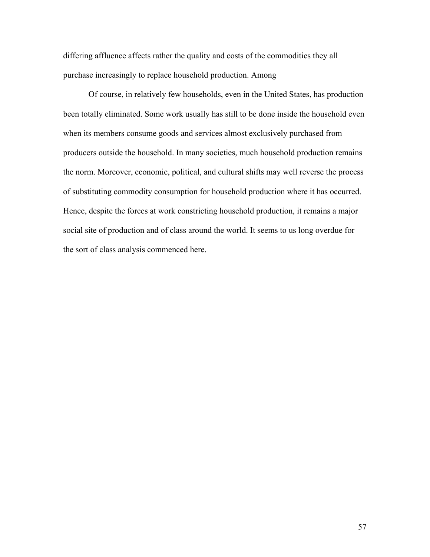differing affluence affects rather the quality and costs of the commodities they all purchase increasingly to replace household production. Among

Of course, in relatively few households, even in the United States, has production been totally eliminated. Some work usually has still to be done inside the household even when its members consume goods and services almost exclusively purchased from producers outside the household. In many societies, much household production remains the norm. Moreover, economic, political, and cultural shifts may well reverse the process of substituting commodity consumption for household production where it has occurred. Hence, despite the forces at work constricting household production, it remains a major social site of production and of class around the world. It seems to us long overdue for the sort of class analysis commenced here.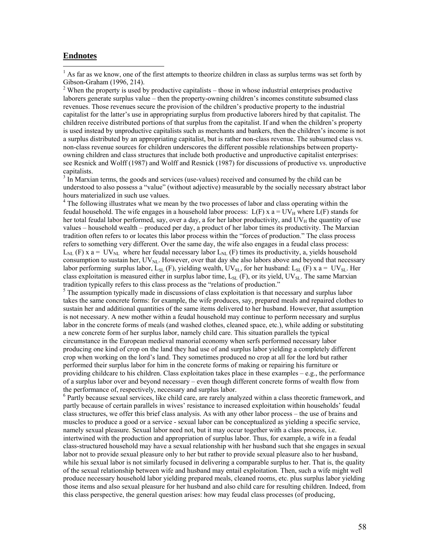#### **Endnotes**

 $\overline{a}$ 

 $<sup>1</sup>$  As far as we know, one of the first attempts to theorize children in class as surplus terms was set forth by</sup> Gibson-Graham (1996, 214).

 $2$  When the property is used by productive capitalists – those in whose industrial enterprises productive laborers generate surplus value – then the property-owning children's incomes constitute subsumed class revenues. Those revenues secure the provision of the children's productive property to the industrial capitalist for the latter's use in appropriating surplus from productive laborers hired by that capitalist. The children receive distributed portions of that surplus from the capitalist. If and when the children's property is used instead by unproductive capitalists such as merchants and bankers, then the children's income is not a surplus distributed by an appropriating capitalist, but is rather non-class revenue. The subsumed class vs. non-class revenue sources for children underscores the different possible relationships between propertyowning children and class structures that include both productive and unproductive capitalist enterprises: see Resnick and Wolff (1987) and Wolff and Resnick (1987) for discussions of productive vs. unproductive capitalists.

 $3 \text{ In } \text{Maxian terms},$  the goods and services (use-values) received and consumed by the child can be understood to also possess a "value" (without adjective) measurable by the socially necessary abstract labor hours materialized in such use values.

<sup>4</sup> The following illustrates what we mean by the two processes of labor and class operating within the feudal household. The wife engages in a household labor process:  $L(F)$  x a =  $UV_H$  where  $L(F)$  stands for her total feudal labor performed, say, over a day, a for her labor productivity, and  $UV_H$  the quantity of use values – household wealth – produced per day, a product of her labor times its productivity. The Marxian tradition often refers to or locates this labor process within the "forces of production." The class process refers to something very different. Over the same day, the wife also engages in a feudal class process:  $L_{NL}$  (F) x a = UV<sub>NL</sub> where her feudal necessary labor  $L_{NL}$  (F) times its productivity, a, yields household consumption to sustain her,  $UV_{NL}$ . However, over that day she also labors above and beyond that necessary labor performing surplus labor, L<sub>SL</sub> (F), yielding wealth, UV<sub>SL</sub>, for her husband: L<sub>SL</sub> (F) x a = UV<sub>SL</sub>. Her class exploitation is measured either in surplus labor time,  $L_{SL}$  (F), or its yield, UV<sub>SL</sub>. The same Marxian tradition typically refers to this class process as the "relations of production." 5

<sup>5</sup> The assumption typically made in discussions of class exploitation is that necessary and surplus labor takes the same concrete forms: for example, the wife produces, say, prepared meals and repaired clothes to sustain her and additional quantities of the same items delivered to her husband. However, that assumption is not necessary. A new mother within a feudal household may continue to perform necessary and surplus labor in the concrete forms of meals (and washed clothes, cleaned space, etc.), while adding or substituting a new concrete form of her surplus labor, namely child care. This situation parallels the typical circumstance in the European medieval manorial economy when serfs performed necessary labor producing one kind of crop on the land they had use of and surplus labor yielding a completely different crop when working on the lord's land. They sometimes produced no crop at all for the lord but rather performed their surplus labor for him in the concrete forms of making or repairing his furniture or providing childcare to his children. Class exploitation takes place in these examples – e.g., the performance of a surplus labor over and beyond necessary – even though different concrete forms of wealth flow from the performance of, respectively, necessary and surplus labor.

<sup>6</sup> Partly because sexual services, like child care, are rarely analyzed within a class theoretic framework, and partly because of certain parallels in wives' resistance to increased exploitation within households' feudal class structures, we offer this brief class analysis. As with any other labor process – the use of brains and muscles to produce a good or a service - sexual labor can be conceptualized as yielding a specific service, namely sexual pleasure. Sexual labor need not, but it may occur together with a class process, i.e. intertwined with the production and appropriation of surplus labor. Thus, for example, a wife in a feudal class-structured household may have a sexual relationship with her husband such that she engages in sexual labor not to provide sexual pleasure only to her but rather to provide sexual pleasure also to her husband, while his sexual labor is not similarly focused in delivering a comparable surplus to her. That is, the quality of the sexual relationship between wife and husband may entail exploitation. Then, such a wife might well produce necessary household labor yielding prepared meals, cleaned rooms, etc. plus surplus labor yielding those items and also sexual pleasure for her husband and also child care for resulting children. Indeed, from this class perspective, the general question arises: how may feudal class processes (of producing,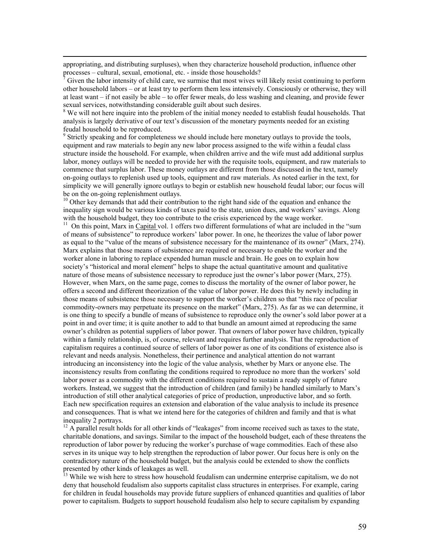appropriating, and distributing surpluses), when they characterize household production, influence other processes – cultural, sexual, emotional, etc. - inside those households?

7 Given the labor intensity of child care, we surmise that most wives will likely resist continuing to perform other household labors – or at least try to perform them less intensively. Consciously or otherwise, they will at least want – if not easily be able – to offer fewer meals, do less washing and cleaning, and provide fewer sexual services, notwithstanding considerable guilt about such desires.

<sup>8</sup> We will not here inquire into the problem of the initial money needed to establish feudal households. That analysis is largely derivative of our text's discussion of the monetary payments needed for an existing feudal household to be reproduced.

<sup>9</sup> Strictly speaking and for completeness we should include here monetary outlays to provide the tools, equipment and raw materials to *begin* any new labor process assigned to the wife within a feudal class structure inside the household. For example, when children arrive and the wife must add additional surplus labor, money outlays will be needed to provide her with the requisite tools, equipment, and raw materials to commence that surplus labor. These money outlays are different from those discussed in the text, namely on-going outlays to replenish used up tools, equipment and raw materials. As noted earlier in the text, for simplicity we will generally ignore outlays to begin or establish new household feudal labor; our focus will be on the on-going replenishment outlays.

<sup>10</sup> Other key demands that add their contribution to the right hand side of the equation and enhance the inequality sign would be various kinds of taxes paid to the state, union dues, and workers' savings. Along with the household budget, they too contribute to the crisis experienced by the wage worker.

<sup>11</sup> On this point, Marx in Capital vol. 1 offers two different formulations of what are included in the "sum of means of subsistence" to reproduce workers' labor power. In one, he theorizes the value of labor power as equal to the "value of the means of subsistence necessary for the maintenance of its owner" (Marx, 274). Marx explains that those means of subsistence are required or necessary to enable the worker and the worker alone in laboring to replace expended human muscle and brain. He goes on to explain how society's "historical and moral element" helps to shape the actual quantitative amount and qualitative nature of those means of subsistence necessary to reproduce just the owner's labor power (Marx, 275). However, when Marx, on the same page, comes to discuss the mortality of the owner of labor power, he offers a second and different theorization of the value of labor power. He does this by newly including in those means of subsistence those necessary to support the worker's children so that "this race of peculiar commodity-owners may perpetuate its presence on the market" (Marx, 275). As far as we can determine, it is one thing to specify a bundle of means of subsistence to reproduce only the owner's sold labor power at a point in and over time; it is quite another to add to that bundle an amount aimed at reproducing the same owner's children as potential suppliers of labor power. That owners of labor power have children, typically within a family relationship, is, of course, relevant and requires further analysis. That the reproduction of capitalism requires a continued source of sellers of labor power as one of its conditions of existence also is relevant and needs analysis. Nonetheless, their pertinence and analytical attention do not warrant introducing an inconsistency into the logic of the value analysis, whether by Marx or anyone else. The inconsistency results from conflating the conditions required to reproduce no more than the workers' sold labor power as a commodity with the different conditions required to sustain a ready supply of future workers. Instead, we suggest that the introduction of children (and family) be handled similarly to Marx's introduction of still other analytical categories of price of production, unproductive labor, and so forth. Each new specification requires an extension and elaboration of the value analysis to include its presence and consequences. That is what we intend here for the categories of children and family and that is what inequality 2 portrays.

 $12$  A parallel result holds for all other kinds of "leakages" from income received such as taxes to the state, charitable donations, and savings. Similar to the impact of the household budget, each of these threatens the reproduction of labor power by reducing the worker's purchase of wage commodities. Each of these also serves in its unique way to help strengthen the reproduction of labor power. Our focus here is only on the contradictory nature of the household budget, but the analysis could be extended to show the conflicts presented by other kinds of leakages as well.

<sup>13</sup> While we wish here to stress how household feudalism can undermine enterprise capitalism, we do not deny that household feudalism also supports capitalist class structures in enterprises. For example, caring for children in feudal households may provide future suppliers of enhanced quantities and qualities of labor power to capitalism. Budgets to support household feudalism also help to secure capitalism by expanding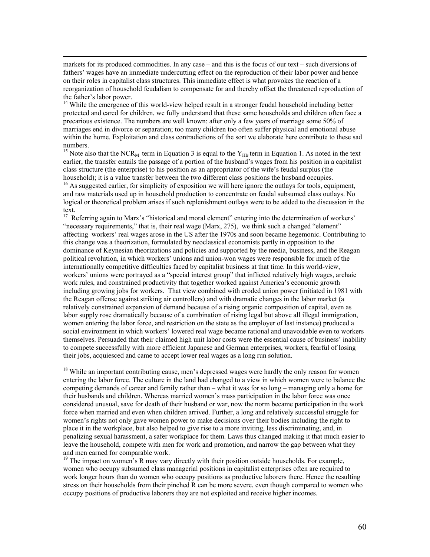markets for its produced commodities. In any case – and this is the focus of our text – such diversions of fathers' wages have an immediate undercutting effect on the reproduction of their labor power and hence on their roles in capitalist class structures. This immediate effect is what provokes the reaction of a reorganization of household feudalism to compensate for and thereby offset the threatened reproduction of the father's labor power.

<sup>14</sup> While the emergence of this world-view helped result in a stronger feudal household including better protected and cared for children, we fully understand that these same households and children often face a precarious existence. The numbers are well known: after only a few years of marriage some 50% of marriages end in divorce or separation; too many children too often suffer physical and emotional abuse within the home. Exploitation and class contradictions of the sort we elaborate here contribute to these sad numbers.

<sup>15</sup> Note also that the NCR<sub>M</sub> term in Equation 3 is equal to the Y<sub>HB</sub> term in Equation 1. As noted in the text earlier, the transfer entails the passage of a portion of the husband's wages from his position in a capitalist class structure (the enterprise) to his position as an appropriator of the wife's feudal surplus (the household); it is a value transfer between the two different class positions the husband occupies.

<sup>16</sup> As suggested earlier, for simplicity of exposition we will here ignore the outlays for tools, equipment, and raw materials used up in household production to concentrate on feudal subsumed class outlays. No logical or theoretical problem arises if such replenishment outlays were to be added to the discussion in the text.

<sup>17</sup> Referring again to Marx's "historical and moral element" entering into the determination of workers' "necessary requirements," that is, their real wage (Marx, 275), we think such a changed "element" affecting workers' real wages arose in the US after the 1970s and soon became hegemonic. Contributing to this change was a theorization, formulated by neoclassical economists partly in opposition to the dominance of Keynesian theorizations and policies and supported by the media, business, and the Reagan political revolution, in which workers' unions and union-won wages were responsible for much of the internationally competitive difficulties faced by capitalist business at that time. In this world-view, workers' unions were portrayed as a "special interest group" that inflicted relatively high wages, archaic work rules, and constrained productivity that together worked against America's economic growth including growing jobs for workers. That view combined with eroded union power (initiated in 1981 with the Reagan offense against striking air controllers) and with dramatic changes in the labor market (a relatively constrained expansion of demand because of a rising organic composition of capital, even as labor supply rose dramatically because of a combination of rising legal but above all illegal immigration, women entering the labor force, and restriction on the state as the employer of last instance) produced a social environment in which workers' lowered real wage became rational and unavoidable even to workers themselves. Persuaded that their claimed high unit labor costs were the essential cause of business' inability to compete successfully with more efficient Japanese and German enterprises, workers, fearful of losing their jobs, acquiesced and came to accept lower real wages as a long run solution.

<sup>18</sup> While an important contributing cause, men's depressed wages were hardly the only reason for women entering the labor force. The culture in the land had changed to a view in which women were to balance the competing demands of career and family rather than – what it was for so long – managing only a home for their husbands and children. Whereas married women's mass participation in the labor force was once considered unusual, save for death of their husband or war, now the norm became participation in the work force when married and even when children arrived. Further, a long and relatively successful struggle for women's rights not only gave women power to make decisions over their bodies including the right to place it in the workplace, but also helped to give rise to a more inviting, less discriminating, and, in penalizing sexual harassment, a safer workplace for them. Laws thus changed making it that much easier to leave the household, compete with men for work and promotion, and narrow the gap between what they and men earned for comparable work.

<sup>19</sup> The impact on women's R may vary directly with their position outside households. For example, women who occupy subsumed class managerial positions in capitalist enterprises often are required to work longer hours than do women who occupy positions as productive laborers there. Hence the resulting stress on their households from their pinched R can be more severe, even though compared to women who occupy positions of productive laborers they are not exploited and receive higher incomes.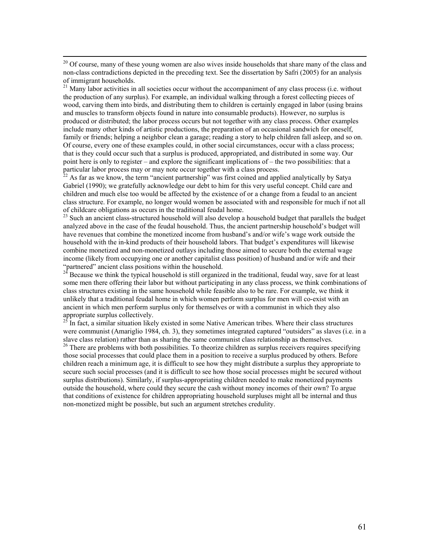<sup>20</sup> Of course, many of these young women are also wives inside households that share many of the class and non-class contradictions depicted in the preceding text. See the dissertation by Safri (2005) for an analysis of immigrant households.

<sup>21</sup> Many labor activities in all societies occur without the accompaniment of any class process (i.e. without the production of any surplus). For example, an individual walking through a forest collecting pieces of wood, carving them into birds, and distributing them to children is certainly engaged in labor (using brains and muscles to transform objects found in nature into consumable products). However, no surplus is produced or distributed; the labor process occurs but not together with any class process. Other examples include many other kinds of artistic productions, the preparation of an occasional sandwich for oneself, family or friends; helping a neighbor clean a garage; reading a story to help children fall asleep, and so on. Of course, every one of these examples could, in other social circumstances, occur with a class process; that is they could occur such that a surplus is produced, appropriated, and distributed in some way. Our point here is only to register – and explore the significant implications of – the two possibilities: that a particular labor process may or may note occur together with a class process.

 $^{22}$  As far as we know, the term "ancient partnership" was first coined and applied analytically by Satya Gabriel (1990); we gratefully acknowledge our debt to him for this very useful concept. Child care and children and much else too would be affected by the existence of or a change from a feudal to an ancient class structure. For example, no longer would women be associated with and responsible for much if not all of childcare obligations as occurs in the traditional feudal home. 23 Such an ancient class-structured household will also develop a household budget that parallels the budget

analyzed above in the case of the feudal household. Thus, the ancient partnership household's budget will have revenues that combine the monetized income from husband's and/or wife's wage work outside the household with the in-kind products of their household labors. That budget's expenditures will likewise combine monetized and non-monetized outlays including those aimed to secure both the external wage income (likely from occupying one or another capitalist class position) of husband and/or wife and their<br>"partnered" ancient class positions within the household.<br><sup>24</sup> Begause we think the traject household is still grappi

Because we think the typical household is still organized in the traditional, feudal way, save for at least some men there offering their labor but without participating in any class process, we think combinations of class structures existing in the same household while feasible also to be rare. For example, we think it unlikely that a traditional feudal home in which women perform surplus for men will co-exist with an ancient in which men perform surplus only for themselves or with a communist in which they also<br>appropriate surplus collectively.<br> $\frac{25 \text{ In fact, a similar situation.}}{25 \text{ In fact, a similar situation.}}$ 

In fact, a similar situation likely existed in some Native American tribes. Where their class structures were communist (Amariglio 1984, ch. 3), they sometimes integrated captured "outsiders" as slaves (i.e. in a slave class relation) rather than as sharing the same communist class relationship as themselves.

<sup>26</sup> There are problems with both possibilities. To theorize children as surplus receivers requires specifying those social processes that could place them in a position to receive a surplus produced by others. Before children reach a minimum age, it is difficult to see how they might distribute a surplus they appropriate to secure such social processes (and it is difficult to see how those social processes might be secured without surplus distributions). Similarly, if surplus-appropriating children needed to make monetized payments outside the household, where could they secure the cash without money incomes of their own? To argue that conditions of existence for children appropriating household surpluses might all be internal and thus non-monetized might be possible, but such an argument stretches credulity.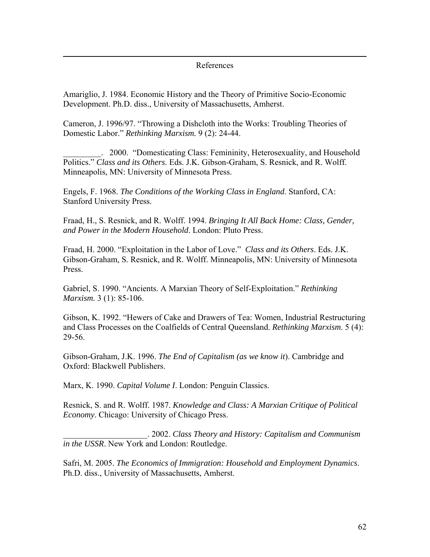#### References

Amariglio, J. 1984. Economic History and the Theory of Primitive Socio-Economic Development. Ph.D. diss., University of Massachusetts, Amherst.

 $\overline{a}$ 

Cameron, J. 1996/97. "Throwing a Dishcloth into the Works: Troubling Theories of Domestic Labor." *Rethinking Marxism.* 9 (2): 24-44.

\_\_\_\_\_\_\_\_\_. 2000. "Domesticating Class: Femininity, Heterosexuality, and Household Politics." *Class and its Others*. Eds. J.K. Gibson-Graham, S. Resnick, and R. Wolff. Minneapolis, MN: University of Minnesota Press.

Engels, F. 1968. *The Conditions of the Working Class in England*. Stanford, CA: Stanford University Press.

Fraad, H., S. Resnick, and R. Wolff. 1994. *Bringing It All Back Home: Class, Gender, and Power in the Modern Household*. London: Pluto Press.

Fraad, H. 2000. "Exploitation in the Labor of Love." *Class and its Others*. Eds. J.K. Gibson-Graham, S. Resnick, and R. Wolff. Minneapolis, MN: University of Minnesota Press.

Gabriel, S. 1990. "Ancients. A Marxian Theory of Self-Exploitation." *Rethinking Marxism.* 3 (1): 85-106.

Gibson, K. 1992. "Hewers of Cake and Drawers of Tea: Women, Industrial Restructuring and Class Processes on the Coalfields of Central Queensland. *Rethinking Marxism*. 5 (4): 29-56.

Gibson-Graham, J.K. 1996. *The End of Capitalism (as we know it*). Cambridge and Oxford: Blackwell Publishers.

Marx, K. 1990. *Capital Volume I*. London: Penguin Classics.

Resnick, S. and R. Wolff. 1987. *Knowledge and Class: A Marxian Critique of Political Economy*. Chicago: University of Chicago Press.

\_\_\_\_\_\_\_\_\_\_\_\_\_\_\_\_\_\_\_\_. 2002. *Class Theory and History: Capitalism and Communism in the USSR*. New York and London: Routledge.

Safri, M. 2005. *The Economics of Immigration: Household and Employment Dynamics*. Ph.D. diss., University of Massachusetts, Amherst.